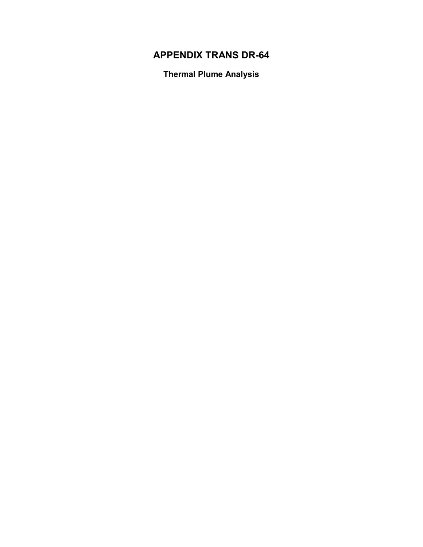### **APPENDIX TRANS DR-64**

**Thermal Plume Analysis**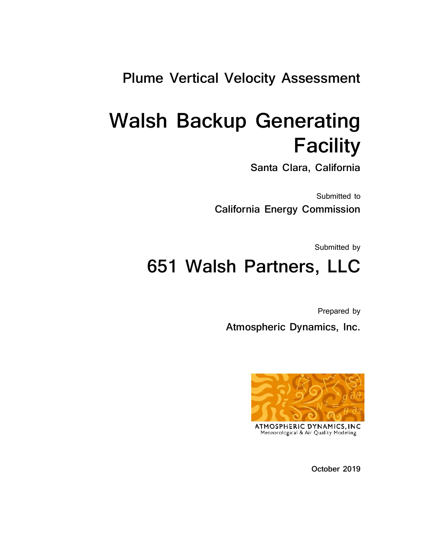## **Plume Vertical Velocity Assessment**

# **Walsh Backup Generating Facility**

**Santa Clara, California**

Submitted to **California Energy Commission**

Submitted by

# **651 Walsh Partners, LLC**

Prepared by  **Atmospheric Dynamics, Inc.**



**ATMOSPHERIC DYNAMJCS,JNC**  Meteorological & Air Quality Modeling

**October 2019**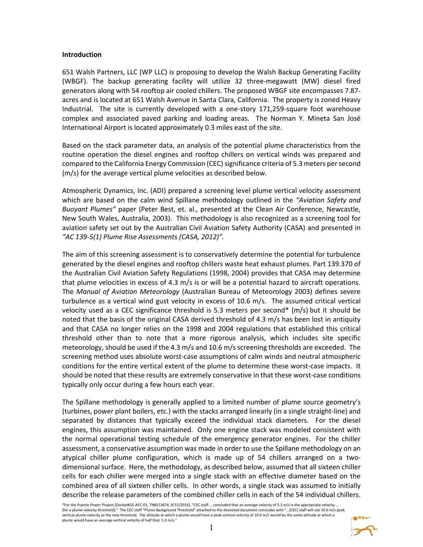#### **Introduction**

651 Walsh Partners, LLC (WP LLC) is proposing to develop the Walsh Backup Generating Facility (WBGF). The backup generating facility will utilize 32 three-megawatt (MW) diesel fired generators along with 54 rooftop air cooled chillers. The proposed WBGF site encompasses 7.87 acres and is located at 651 Walsh Avenue in Santa Clara, California. The property is zoned Heavy Industrial. The site is currently developed with a one-story 171,259-square foot warehouse complex and associated paved parking and loading areas. The Norman Y. Mineta San José International Airport is located approximately 0.3 miles east of the site.

Based on the stack parameter data, an analysis of the potential plume characteristics from the routine operation the diesel engines and rooftop chillers on vertical winds was prepared and compared to the California Energy Commission (CEC) significance criteria of 5.3 meters per second (m/s) for the average vertical plume velocities as described below.

Atmospheric Dynamics, Inc. (ADI) prepared a screening level plume vertical velocity assessment which are based on the calm wind Spillane methodology outlined in the *"Aviation Safety and Buoyant Plumes"* paper (Peter Best, et. al., presented at the Clean Air Conference, Newcastle, New South Wales, Australia, 2003). This methodology is also recognized as a screening tool for aviation safety set out by the Australian Civil Aviation Safety Authority (CASA) and presented in *"AC 139-5(1) Plume Rise Assessments (CASA, 2012)".* 

The aim of this screening assessment is to conservatively determine the potential for turbulence generated by the diesel engines and rooftop chillers waste heat exhaust plumes. Part 139.370 of the Australian Civil Aviation Safety Regulations (1998, 2004) provides that CASA may determine that plume velocities in excess of 4.3 m/s is or will be a potential hazard to aircraft operations. The *Manual of Aviation Meteorology* (Australian Bureau of Meteorology 2003) defines severe turbulence as a vertical wind gust velocity in excess of 10.6 m/s. The assumed critical vertical velocity used as a CEC significance threshold is 5.3 meters per second\*  $(m/s)$  but it should be noted that the basis of the original CASA derived threshold of 4.3 m/s has been lost in antiquity and that CASA no longer relies on the 1998 and 2004 regulations that established this critical threshold other than to note that a more rigorous analysis, which includes site specific meteorology, should be used if the 4.3 m/s and 10.6 m/s screening thresholds are exceeded. The screening method uses absolute worst-case assumptions of calm winds and neutral atmospheric conditions for the entire vertical extent of the plume to determine these worst-case impacts. It should be noted that these results are extremely conservative in that these worst-case conditions typically only occur during a few hours each year.

The Spillane methodology is generally applied to a limited number of plume source geometry's (turbines, power plant boilers, etc.) with the stacks arranged linearly (in a single straight-line) and separated by distances that typically exceed the individual stack diameters. For the diesel engines, this assumption was maintained. Only one engine stack was modeled consistent with the normal operational testing schedule of the emergency generator engines. For the chiller assessment, a conservative assumption was made in order to use the Spillane methodology on an atypical chiller plume configuration, which is made up of 54 chillers arranged on a twodimensional surface. Here, the methodology, as described below, assumed that all sixteen chiller cells for each chiller were merged into a single stack with an effective diameter based on the combined area of all sixteen chiller cells. In other words, a single stack was assumed to initially describe the release parameters of the combined chiller cells in each of the 54 individual chillers.

\*For the Puente Power Project (Docket#15-AFC-01, TN#213674, 9/15/2016), "CEC staff … concluded that an average velocity of 5.3 m/s is the appropriate velocity … [for a plume velocity threshold]." The CEC staff "Plume Background Threshold" attached to the docketed document concludes with "…[CEC] staff will use 10.6 m/s peak vertical plume velocity as the new threshold. The altitude at which a plume would have a peak vertical velocity of 10.6 m/s would be the same altitude at which a plume would have an average vertical velocity of half that, 5.3 m/s."

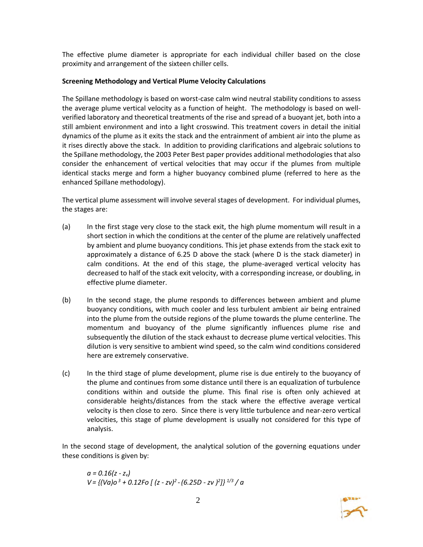The effective plume diameter is appropriate for each individual chiller based on the close proximity and arrangement of the sixteen chiller cells.

#### **Screening Methodology and Vertical Plume Velocity Calculations**

The Spillane methodology is based on worst-case calm wind neutral stability conditions to assess the average plume vertical velocity as a function of height. The methodology is based on wellverified laboratory and theoretical treatments of the rise and spread of a buoyant jet, both into a still ambient environment and into a light crosswind. This treatment covers in detail the initial dynamics of the plume as it exits the stack and the entrainment of ambient air into the plume as it rises directly above the stack. In addition to providing clarifications and algebraic solutions to the Spillane methodology, the 2003 Peter Best paper provides additional methodologies that also consider the enhancement of vertical velocities that may occur if the plumes from multiple identical stacks merge and form a higher buoyancy combined plume (referred to here as the enhanced Spillane methodology).

The vertical plume assessment will involve several stages of development. For individual plumes, the stages are:

- (a) In the first stage very close to the stack exit, the high plume momentum will result in a short section in which the conditions at the center of the plume are relatively unaffected by ambient and plume buoyancy conditions. This jet phase extends from the stack exit to approximately a distance of 6.25 D above the stack (where D is the stack diameter) in calm conditions. At the end of this stage, the plume-averaged vertical velocity has decreased to half of the stack exit velocity, with a corresponding increase, or doubling, in effective plume diameter.
- (b) In the second stage, the plume responds to differences between ambient and plume buoyancy conditions, with much cooler and less turbulent ambient air being entrained into the plume from the outside regions of the plume towards the plume centerline. The momentum and buoyancy of the plume significantly influences plume rise and subsequently the dilution of the stack exhaust to decrease plume vertical velocities. This dilution is very sensitive to ambient wind speed, so the calm wind conditions considered here are extremely conservative.
- (c) In the third stage of plume development, plume rise is due entirely to the buoyancy of the plume and continues from some distance until there is an equalization of turbulence conditions within and outside the plume. This final rise is often only achieved at considerable heights/distances from the stack where the effective average vertical velocity is then close to zero. Since there is very little turbulence and near-zero vertical velocities, this stage of plume development is usually not considered for this type of analysis.

In the second stage of development, the analytical solution of the governing equations under these conditions is given by:

$$
a = 0.16(z - zv)
$$
  
V = { $(Va) o3 + 0.12Fo [ (z - zv)2 - (6.25D - zv)2]}1/3/a$ 

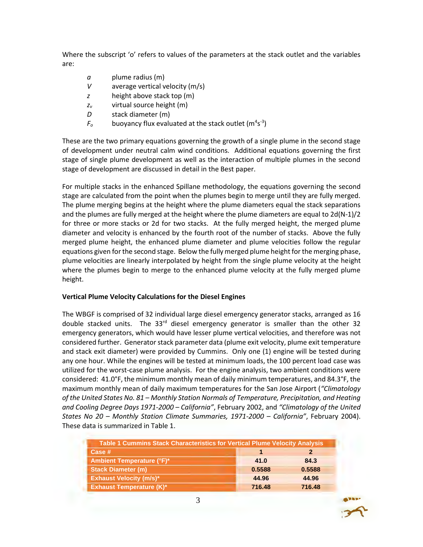Where the subscript 'o' refers to values of the parameters at the stack outlet and the variables are:

- *a* plume radius (m)
- *V* average vertical velocity (m/s)
- *z* height above stack top (m)
- *z<sup>v</sup>* virtual source height (m)
- *D* stack diameter (m)
- $F_o$  buoyancy flux evaluated at the stack outlet (m<sup>4</sup>s<sup>-3</sup>)

These are the two primary equations governing the growth of a single plume in the second stage of development under neutral calm wind conditions. Additional equations governing the first stage of single plume development as well as the interaction of multiple plumes in the second stage of development are discussed in detail in the Best paper.

For multiple stacks in the enhanced Spillane methodology, the equations governing the second stage are calculated from the point when the plumes begin to merge until they are fully merged. The plume merging begins at the height where the plume diameters equal the stack separations and the plumes are fully merged at the height where the plume diameters are equal to  $2d(N-1)/2$ for three or more stacks or 2d for two stacks. At the fully merged height, the merged plume diameter and velocity is enhanced by the fourth root of the number of stacks. Above the fully merged plume height, the enhanced plume diameter and plume velocities follow the regular equations given for the second stage. Below the fully merged plume height for the merging phase, plume velocities are linearly interpolated by height from the single plume velocity at the height where the plumes begin to merge to the enhanced plume velocity at the fully merged plume height.

#### **Vertical Plume Velocity Calculations for the Diesel Engines**

The WBGF is comprised of 32 individual large diesel emergency generator stacks, arranged as 16 double stacked units. The 33 $rd$  diesel emergency generator is smaller than the other 32 emergency generators, which would have lesser plume vertical velocities, and therefore was not considered further. Generator stack parameter data (plume exit velocity, plume exit temperature and stack exit diameter) were provided by Cummins. Only one (1) engine will be tested during any one hour. While the engines will be tested at minimum loads, the 100 percent load case was utilized for the worst-case plume analysis. For the engine analysis, two ambient conditions were considered: 41.0°F, the minimum monthly mean of daily minimum temperatures, and 84.3°F, the maximum monthly mean of daily maximum temperatures for the San Jose Airport (*"Climatology of the United States No. 81 – Monthly Station Normals of Temperature, Precipitation, and Heating and Cooling Degree Days 1971-2000 – California"*, February 2002, and *"Climatology of the United States No 20 – Monthly Station Climate Summaries, 1971-2000 – California"*, February 2004). These data is summarized in Table 1.

| <b>Table 1 Cummins Stack Characteristics for Vertical Plume Velocity Analysis</b> |        |        |
|-----------------------------------------------------------------------------------|--------|--------|
| Case #                                                                            |        |        |
| <b>Ambient Temperature (°F)*</b>                                                  | 41.0   | 84.3   |
| <b>Stack Diameter (m)</b>                                                         | 0.5588 | 0.5588 |
| <b>Exhaust Velocity (m/s)*</b>                                                    | 44.96  | 44.96  |
| <b>Exhaust Temperature (K)*</b>                                                   | 716.48 | 716.48 |

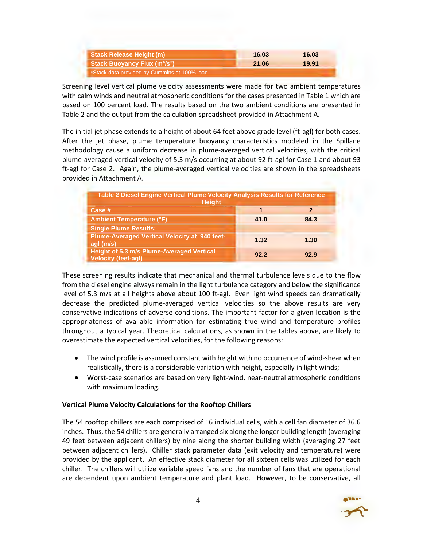| <b>Stack Release Height (m)</b>                          | 16.03 | 16.03 |
|----------------------------------------------------------|-------|-------|
| <b>Stack Buoyancy Flux (m<sup>4</sup>/s<sup>3</sup>)</b> | 21.06 | 19.91 |
| *Stack data provided by Cummins at 100% load             |       |       |

Screening level vertical plume velocity assessments were made for two ambient temperatures with calm winds and neutral atmospheric conditions for the cases presented in Table 1 which are based on 100 percent load. The results based on the two ambient conditions are presented in Table 2 and the output from the calculation spreadsheet provided in Attachment A.

The initial jet phase extends to a height of about 64 feet above grade level (ft-agl) for both cases. After the jet phase, plume temperature buoyancy characteristics modeled in the Spillane methodology cause a uniform decrease in plume-averaged vertical velocities, with the critical plume-averaged vertical velocity of 5.3 m/s occurring at about 92 ft-agl for Case 1 and about 93 ft-agl for Case 2. Again, the plume-averaged vertical velocities are shown in the spreadsheets provided in Attachment A.

| Table 2 Diesel Engine Vertical Plume Velocity Analysis Results for Reference<br><b>Height</b> |      |      |
|-----------------------------------------------------------------------------------------------|------|------|
| Case #                                                                                        | 1    | 2    |
| <b>Ambient Temperature (°F)</b>                                                               | 41.0 | 84.3 |
| <b>Single Plume Results:</b>                                                                  |      |      |
| <b>Plume-Averaged Vertical Velocity at 940 feet-</b><br>agl (m/s)                             | 1.32 | 1.30 |
| <b>Height of 5.3 m/s Plume-Averaged Vertical</b><br><b>Velocity (feet-agl)</b>                | 92.2 | 92.9 |

These screening results indicate that mechanical and thermal turbulence levels due to the flow from the diesel engine always remain in the light turbulence category and below the significance level of 5.3 m/s at all heights above about 100 ft-agl. Even light wind speeds can dramatically decrease the predicted plume-averaged vertical velocities so the above results are very conservative indications of adverse conditions. The important factor for a given location is the appropriateness of available information for estimating true wind and temperature profiles throughout a typical year. Theoretical calculations, as shown in the tables above, are likely to overestimate the expected vertical velocities, for the following reasons:

- The wind profile is assumed constant with height with no occurrence of wind-shear when realistically, there is a considerable variation with height, especially in light winds;
- Worst-case scenarios are based on very light-wind, near-neutral atmospheric conditions with maximum loading.

#### **Vertical Plume Velocity Calculations for the Rooftop Chillers**

The 54 rooftop chillers are each comprised of 16 individual cells, with a cell fan diameter of 36.6 inches. Thus, the 54 chillers are generally arranged six along the longer building length (averaging 49 feet between adjacent chillers) by nine along the shorter building width (averaging 27 feet between adjacent chillers). Chiller stack parameter data (exit velocity and temperature) were provided by the applicant. An effective stack diameter for all sixteen cells was utilized for each chiller. The chillers will utilize variable speed fans and the number of fans that are operational are dependent upon ambient temperature and plant load. However, to be conservative, all

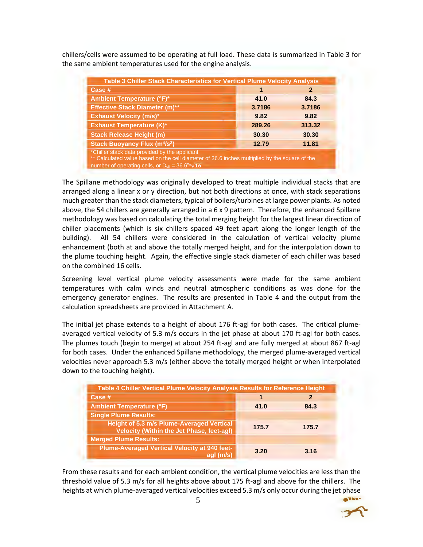chillers/cells were assumed to be operating at full load. These data is summarized in Table 3 for the same ambient temperatures used for the engine analysis.

| Table 3 Chiller Stack Characteristics for Vertical Plume Velocity Analysis                                                                                                                                             |        |        |
|------------------------------------------------------------------------------------------------------------------------------------------------------------------------------------------------------------------------|--------|--------|
| Case #                                                                                                                                                                                                                 | 1      | 2      |
| <b>Ambient Temperature (°F)*</b>                                                                                                                                                                                       | 41.0   | 84.3   |
| <b>Effective Stack Diameter (m)**</b>                                                                                                                                                                                  | 3.7186 | 3.7186 |
| <b>Exhaust Velocity (m/s)*</b>                                                                                                                                                                                         | 9.82   | 9.82   |
| <b>Exhaust Temperature (K)*</b>                                                                                                                                                                                        | 289.26 | 313.32 |
| <b>Stack Release Height (m)</b>                                                                                                                                                                                        | 30.30  | 30.30  |
| <b>Stack Buoyancy Flux (m<sup>4</sup>/s<sup>3</sup>)</b>                                                                                                                                                               | 12.79  | 11.81  |
| *Chiller stack data provided by the applicant<br>** Calculated value based on the cell diameter of 36.6 inches multiplied by the square of the<br>number of operating cells, or $D_{\text{eff}} = 36.6$ "* $\sqrt{16}$ |        |        |

The Spillane methodology was originally developed to treat multiple individual stacks that are arranged along a linear x or y direction, but not both directions at once, with stack separations much greater than the stack diameters, typical of boilers/turbines at large power plants. As noted above, the 54 chillers are generally arranged in a 6 x 9 pattern. Therefore, the enhanced Spillane methodology was based on calculating the total merging height for the largest linear direction of chiller placements (which is six chillers spaced 49 feet apart along the longer length of the building). All 54 chillers were considered in the calculation of vertical velocity plume enhancement (both at and above the totally merged height, and for the interpolation down to the plume touching height. Again, the effective single stack diameter of each chiller was based on the combined 16 cells.

Screening level vertical plume velocity assessments were made for the same ambient temperatures with calm winds and neutral atmospheric conditions as was done for the emergency generator engines. The results are presented in Table 4 and the output from the calculation spreadsheets are provided in Attachment A.

The initial jet phase extends to a height of about 176 ft-agl for both cases. The critical plumeaveraged vertical velocity of 5.3 m/s occurs in the jet phase at about 170 ft-agl for both cases. The plumes touch (begin to merge) at about 254 ft-agl and are fully merged at about 867 ft-agl for both cases. Under the enhanced Spillane methodology, the merged plume-averaged vertical velocities never approach 5.3 m/s (either above the totally merged height or when interpolated down to the touching height).

| Table 4 Chiller Vertical Plume Velocity Analysis Results for Reference Height                 |       |       |
|-----------------------------------------------------------------------------------------------|-------|-------|
| Case #                                                                                        |       | 2     |
| <b>Ambient Temperature (°F)</b>                                                               | 41.0  | 84.3  |
| <b>Single Plume Results:</b>                                                                  |       |       |
| <b>Height of 5.3 m/s Plume-Averaged Vertical</b><br>Velocity (Within the Jet Phase, feet-agl) | 175.7 | 175.7 |
| <b>Merged Plume Results:</b>                                                                  |       |       |
| <b>Plume-Averaged Vertical Velocity at 940 feet-</b><br>aal (m/s)                             | 3.20  | 3.16  |

From these results and for each ambient condition, the vertical plume velocities are less than the threshold value of 5.3 m/s for all heights above about 175 ft-agl and above for the chillers. The heights at which plume-averaged vertical velocities exceed 5.3 m/s only occur during the jet phase

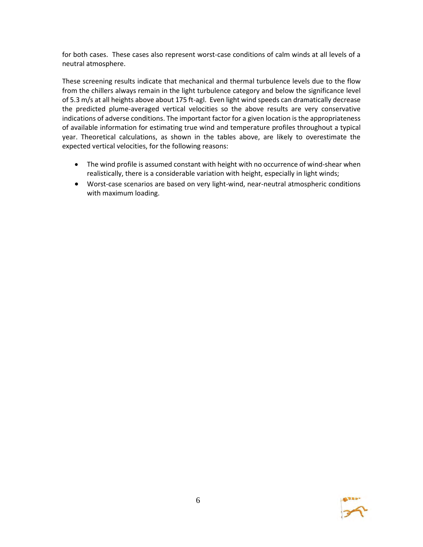for both cases. These cases also represent worst-case conditions of calm winds at all levels of a neutral atmosphere.

These screening results indicate that mechanical and thermal turbulence levels due to the flow from the chillers always remain in the light turbulence category and below the significance level of 5.3 m/s at all heights above about 175 ft-agl. Even light wind speeds can dramatically decrease the predicted plume-averaged vertical velocities so the above results are very conservative indications of adverse conditions. The important factor for a given location is the appropriateness of available information for estimating true wind and temperature profiles throughout a typical year. Theoretical calculations, as shown in the tables above, are likely to overestimate the expected vertical velocities, for the following reasons:

- The wind profile is assumed constant with height with no occurrence of wind-shear when realistically, there is a considerable variation with height, especially in light winds;
- Worst-case scenarios are based on very light-wind, near-neutral atmospheric conditions with maximum loading.

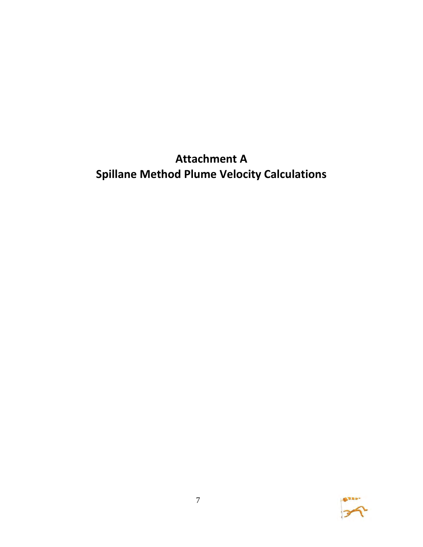## **Attachment A Spillane Method Plume Velocity Calculations**

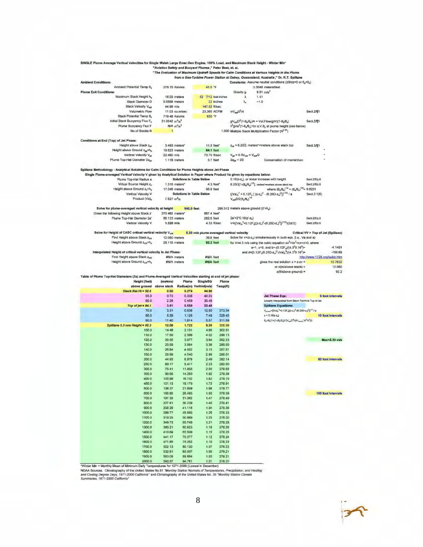|                                                                                                                                                                                                                                 | "Aviation Safety and Buoyant Plumes," Peter Best, et. al. |                                 |                                           |                  |                                                                                  |                                                                                                                                           |                                     |                                                                                                  |
|---------------------------------------------------------------------------------------------------------------------------------------------------------------------------------------------------------------------------------|-----------------------------------------------------------|---------------------------------|-------------------------------------------|------------------|----------------------------------------------------------------------------------|-------------------------------------------------------------------------------------------------------------------------------------------|-------------------------------------|--------------------------------------------------------------------------------------------------|
|                                                                                                                                                                                                                                 |                                                           |                                 |                                           |                  |                                                                                  | "The Evaluation of Maximum Updraft Speeds for Calm Conditions at Various Heights in the Plume                                             |                                     |                                                                                                  |
|                                                                                                                                                                                                                                 |                                                           |                                 |                                           |                  |                                                                                  | from a Gas-Turbine Power Station at Oakey, Queensland, Australia," Dr. K.T. Spillane                                                      |                                     |                                                                                                  |
| <b>Ambient Conditions:</b><br>Ambient Potential Temp 8a                                                                                                                                                                         | 278.15 Kelvins                                            |                                 | 41.0 °F                                   |                  |                                                                                  | Constanta: Assume neutral conditions (d8/dz=0 or $\theta_a = \theta_e$ )<br>0,3048 meters/feet                                            |                                     |                                                                                                  |
| <b>Plume Exit Conditions:</b>                                                                                                                                                                                                   |                                                           |                                 |                                           |                  | Gravity g                                                                        | $9.81 \, \text{m/s}^2$                                                                                                                    |                                     |                                                                                                  |
| Maximum Stack Height h.                                                                                                                                                                                                         | 16.03 meters                                              |                                 | 52 7/12 feet-inches                       |                  | λ                                                                                | 1.11                                                                                                                                      |                                     |                                                                                                  |
| <b>Stack Diameter D</b>                                                                                                                                                                                                         | 0.5588 meters                                             |                                 |                                           | 22 inches        | λ.                                                                               | $-1.0$                                                                                                                                    |                                     |                                                                                                  |
| Stack Velocity Vast                                                                                                                                                                                                             | 44.96 m/s                                                 |                                 | 147.52 ft/sec                             |                  |                                                                                  |                                                                                                                                           |                                     |                                                                                                  |
| Volumetric Flow                                                                                                                                                                                                                 |                                                           | 11.03 cu.m/sec                  | 23,365 ACFM                               |                  | $\pi V_{\text{max}}D^2/4$                                                        |                                                                                                                                           | Sect.2/¶1                           |                                                                                                  |
| Stack Potential Temp $\theta_k$                                                                                                                                                                                                 | <b>716.48 Kalvins</b>                                     |                                 | 830 F                                     |                  |                                                                                  |                                                                                                                                           |                                     |                                                                                                  |
| Initial Stack Buoyancy Flux Fo                                                                                                                                                                                                  | $21.0642 \text{ m}^4\text{/s}^3$                          |                                 |                                           |                  |                                                                                  | $gV_{\text{max}}D^{2}(1-\theta_{0}/\theta_{0})/4 = Vol.$ Flow(g/m)(1- $\theta_{0}/\theta_{0}$ )                                           | Sect.2/11                           |                                                                                                  |
| Plume Buoyancy Flux F                                                                                                                                                                                                           | $N/A$ $m^4/s^3$                                           |                                 |                                           |                  |                                                                                  | $\lambda^2$ gVa $^2$ (1-0,/0,) for a,V,0, at plume height (see below)                                                                     |                                     |                                                                                                  |
| No.of Stacks N                                                                                                                                                                                                                  | $\mathbf{1}$                                              |                                 |                                           |                  |                                                                                  | 1.000 Multiple Stack Multiplication Factor (Nº 25)                                                                                        |                                     |                                                                                                  |
|                                                                                                                                                                                                                                 |                                                           |                                 |                                           |                  |                                                                                  |                                                                                                                                           |                                     |                                                                                                  |
| Conditions at End (Top) of Jet Phase:                                                                                                                                                                                           |                                                           |                                 |                                           |                  |                                                                                  |                                                                                                                                           |                                     |                                                                                                  |
| Height above Stack ziet                                                                                                                                                                                                         | 3.493 meters*                                             |                                 | 11.5 feet*                                |                  |                                                                                  | $z_{\text{opt}}$ = 6.25D, meters*=meters above stack top                                                                                  | Sect.3/                             |                                                                                                  |
| Height above Ground z <sub>id</sub> +h,                                                                                                                                                                                         | 19.523 meters                                             |                                 | 64.1 feet                                 |                  |                                                                                  |                                                                                                                                           |                                     |                                                                                                  |
| Vertical Velocity Viet                                                                                                                                                                                                          | 22.480 m/s                                                |                                 | 73.75 ft/sec                              |                  | $V_{\text{int}} = 0.5V_{\text{ext}} = V_{\text{rad}}/2$                          |                                                                                                                                           |                                     |                                                                                                  |
| Plume Top-Hat Diameter 2apr                                                                                                                                                                                                     | $1.11B$ meters                                            |                                 | 3.7 feet                                  |                  | $2aint = 2D$                                                                     | Conservation of momentum                                                                                                                  |                                     |                                                                                                  |
|                                                                                                                                                                                                                                 |                                                           |                                 |                                           |                  |                                                                                  |                                                                                                                                           |                                     |                                                                                                  |
| Spillane Methodology - Analytical Solutions for Calm Conditions for Plume Heights above Jet Phase<br>Single Plume-averaged Vertical Velocity V given by Analytical Solution in Paper where Product Va given by equations below: |                                                           |                                 |                                           |                  |                                                                                  |                                                                                                                                           |                                     |                                                                                                  |
| Plume Top-Hat Radius a                                                                                                                                                                                                          |                                                           | <b>Solutions in Table Below</b> |                                           |                  |                                                                                  | 0.16(z-z,), or linear increase with height                                                                                                | Sect.2/Eq.6                         |                                                                                                  |
| Virtual Source Height z.                                                                                                                                                                                                        |                                                           | $1.316$ meters*                 | 4.3 feet*                                 |                  |                                                                                  | $B.25D[1-(\theta_0/\theta_0)^{1/2}]$ , meters*=meters above stack top                                                                     | Sect 2/Eq.6                         |                                                                                                  |
| Height above Ground z <sub>v</sub> +h,                                                                                                                                                                                          | 17,346 meters                                             |                                 | 56.9 feet                                 |                  |                                                                                  | where $(\theta_n/\theta_n)^{1/2} = (\theta_n/\theta_n)^{1/2} = 0.6231$                                                                    |                                     |                                                                                                  |
| Vertical Velocity V                                                                                                                                                                                                             |                                                           | <b>Solutions in Table Below</b> |                                           |                  |                                                                                  | $[(Va)_0^3 + 0.12F_0 [(z-z_0)^2 - (0.25D-z_0)^2]]^{(1/8)}$ / a                                                                            | SecL2.1(6)                          |                                                                                                  |
| Product (Va) <sub>o</sub>                                                                                                                                                                                                       | $7.827$ $\frac{m^2}{s}$                                   |                                 |                                           |                  | $V_{\text{ent}}$ D/2( $\theta_{\text{e}}$ / $\theta_{\text{e}}$ ) <sup>1/2</sup> |                                                                                                                                           |                                     |                                                                                                  |
|                                                                                                                                                                                                                                 |                                                           |                                 |                                           |                  |                                                                                  |                                                                                                                                           |                                     |                                                                                                  |
| Solve for plume-averaged vertical velocity at height                                                                                                                                                                            |                                                           | 940.0 feet                      |                                           |                  | 286.512 meters above ground (z'+h,)                                              |                                                                                                                                           |                                     |                                                                                                  |
| Gives the following Height above Stack z'                                                                                                                                                                                       | 270.482 meters <sup>*</sup>                               |                                 | 887.4 feet*                               |                  |                                                                                  |                                                                                                                                           |                                     |                                                                                                  |
| Plume Top-Hat Diameter 2a'                                                                                                                                                                                                      | <b>86.133 meters</b>                                      |                                 | 282.6 feet                                |                  | $2a' = 2^{\circ}0.16(z' - z)$                                                    |                                                                                                                                           | Secl.2/Eq.6                         |                                                                                                  |
| Vertical Velocity V                                                                                                                                                                                                             | $1.320$ m/s                                               |                                 | 4.33 f <sub>VBec</sub>                    |                  |                                                                                  | $V = { (Va)_0}^3 + 0.12F_0[(z-z_1)^2 - (0.25D-z_1)^2]^{(1/3)} / (2a'/2)$                                                                  | Sect 2/Eq 6                         |                                                                                                  |
|                                                                                                                                                                                                                                 |                                                           |                                 |                                           |                  |                                                                                  |                                                                                                                                           |                                     |                                                                                                  |
| Solve for Height of CASC critical vertical velocity Vor                                                                                                                                                                         |                                                           |                                 | 5.30 m/s plume-averaged vertical velocity |                  |                                                                                  |                                                                                                                                           | Critical VV > Top of Jet (Spillane) |                                                                                                  |
| Find Height above Stack Zor                                                                                                                                                                                                     | 12.080 meters                                             |                                 | 39.6 feet                                 |                  |                                                                                  | Solve for x=(z-z <sub>v</sub> ) simultaneously in both eqs. (i.e., Va and a)                                                              |                                     |                                                                                                  |
| Height above Ground 2 <sub>c/l</sub> +h,                                                                                                                                                                                        | 28.110 meters                                             |                                 | 92.2 feet                                 |                  |                                                                                  | for V=4.3 m/s using the cubic equation $ax^3 + bx^2 + cx + d = 0$ , where                                                                 |                                     |                                                                                                  |
|                                                                                                                                                                                                                                 |                                                           |                                 |                                           |                  |                                                                                  | $a=1$ , $c=0$ , and $b=.0.12F$ , $J(4.3^{3}0.16^{3})=$                                                                                    |                                     | $-4.1451$                                                                                        |
| Interpolated Height of critical vertical velocity in Jet Phase:                                                                                                                                                                 |                                                           |                                 |                                           |                  |                                                                                  | and $d=[0.12F_0(6.25D-z_s)^2-(Va)_0^3]/(4.3^30.16^3)$ =                                                                                   |                                     | $-766.69$                                                                                        |
| Find Height above Stack Zore                                                                                                                                                                                                    | #N/A meters                                               |                                 | #N/A feet                                 |                  |                                                                                  |                                                                                                                                           | http://www.1728.org/cubic.htm       |                                                                                                  |
| Height above Ground 2ca+h,                                                                                                                                                                                                      | #N/A meters                                               |                                 | #N/A feet                                 |                  |                                                                                  | gives the real solution $x = z - zv =$                                                                                                    |                                     | 10.7632                                                                                          |
|                                                                                                                                                                                                                                 |                                                           |                                 |                                           |                  |                                                                                  |                                                                                                                                           |                                     |                                                                                                  |
|                                                                                                                                                                                                                                 |                                                           |                                 |                                           |                  |                                                                                  | or z(m/above stack) =                                                                                                                     |                                     | 12.080                                                                                           |
|                                                                                                                                                                                                                                 |                                                           |                                 |                                           |                  |                                                                                  | z(ft/above ground) =                                                                                                                      |                                     | 92.2                                                                                             |
|                                                                                                                                                                                                                                 |                                                           |                                 |                                           |                  |                                                                                  |                                                                                                                                           |                                     |                                                                                                  |
| <b>Height (feet)</b>                                                                                                                                                                                                            | (meters)                                                  | Plume                           | <b>SingleStk</b>                          | Plume            |                                                                                  |                                                                                                                                           |                                     |                                                                                                  |
| above ground                                                                                                                                                                                                                    | above stack                                               |                                 | Radius(m) VertVel(m/s)                    | Temp(K)          |                                                                                  |                                                                                                                                           |                                     |                                                                                                  |
| Stack.Rei.Ht = 52.6                                                                                                                                                                                                             | 0.00                                                      | 0.279                           | 44.96                                     |                  |                                                                                  |                                                                                                                                           |                                     |                                                                                                  |
| 55.0                                                                                                                                                                                                                            | 0.73                                                      | 0.338                           | 40.24                                     |                  |                                                                                  | <b>Jet Phase Eqs:</b>                                                                                                                     |                                     |                                                                                                  |
| 60.0                                                                                                                                                                                                                            | 2.26                                                      | 0.459                           | 30.48                                     |                  |                                                                                  | Linearly Interpolated from Stack ReLHt to Top of Jet                                                                                      |                                     |                                                                                                  |
| Top of jet = 84.1                                                                                                                                                                                                               | 3.51                                                      | 0.559                           | 22.48                                     |                  |                                                                                  | <b>Spillane Equations:</b>                                                                                                                |                                     |                                                                                                  |
| 70.0                                                                                                                                                                                                                            | 5.31                                                      | 0.638                           | 12.50                                     | 373.34           |                                                                                  | $V_{\text{plane}}=[(Vu)_i{}^3*0.12F_{\text{eff}}(z-z_i)^2.(6.25D-z_i)^2]^{1/5}/a$                                                         |                                     |                                                                                                  |
| 80.0                                                                                                                                                                                                                            | 8.35                                                      | 1.126                           | 7.48                                      | 329.40           |                                                                                  | $a = 0.16(x - x_0)$                                                                                                                       |                                     |                                                                                                  |
| 90.0                                                                                                                                                                                                                            | 11.40                                                     | 1.614                           | 5.57                                      | 311.59           |                                                                                  | $\theta_p = \theta_q (1 + (1 - (\theta_0/\theta_u))^2 (\sqrt{u_{\text{out}}} D^2 / (4 \sqrt{u_{\text{other}}}^2 \text{H}^2 \text{A}^2)))$ |                                     |                                                                                                  |
| Spillane 5.3 m/s Height = 92.2                                                                                                                                                                                                  | 12.08                                                     | 1.722                           | 5.30                                      | 308.99           |                                                                                  |                                                                                                                                           |                                     |                                                                                                  |
| 100.0                                                                                                                                                                                                                           | 14.45                                                     | 2.101                           | 4.60                                      | 302.01           |                                                                                  |                                                                                                                                           |                                     |                                                                                                  |
| 110.0                                                                                                                                                                                                                           | 17.50                                                     | 2.589                           | 4.02                                      | 296.13           |                                                                                  |                                                                                                                                           |                                     |                                                                                                  |
| 120.0                                                                                                                                                                                                                           | 20.55                                                     | 3.077                           | 3.84                                      | 292.23           |                                                                                  |                                                                                                                                           |                                     |                                                                                                  |
| 130.0                                                                                                                                                                                                                           | 23.59                                                     | 3.564                           | 3.36                                      | 289.50           |                                                                                  |                                                                                                                                           |                                     |                                                                                                  |
| 140.0                                                                                                                                                                                                                           | 26.64                                                     | 4.052                           | 3.15                                      | 287.51           |                                                                                  |                                                                                                                                           |                                     |                                                                                                  |
| 150.0                                                                                                                                                                                                                           | 29.69                                                     | 4.540                           | 2.99                                      | 286.01           |                                                                                  |                                                                                                                                           |                                     |                                                                                                  |
| 200.0                                                                                                                                                                                                                           | 44.93                                                     | 6.978                           | 2.49                                      | 282.14           |                                                                                  |                                                                                                                                           |                                     |                                                                                                  |
| 2500                                                                                                                                                                                                                            | 60.17                                                     | 9.417                           | 2.23                                      | 280.80           |                                                                                  |                                                                                                                                           |                                     |                                                                                                  |
| 300.0                                                                                                                                                                                                                           | 75.41                                                     | 11.855                          | 2.05                                      | 279.83           |                                                                                  |                                                                                                                                           |                                     |                                                                                                  |
| 350.0                                                                                                                                                                                                                           | 90.65                                                     | 14.293                          | 1.92                                      | 279.39           |                                                                                  |                                                                                                                                           |                                     |                                                                                                  |
| 4000                                                                                                                                                                                                                            | 105.89                                                    | 16.732                          | 1.82                                      | 279.10           |                                                                                  |                                                                                                                                           |                                     |                                                                                                  |
| 450.0                                                                                                                                                                                                                           | 121,13                                                    | 19.170                          | 1.73                                      | 278.91           |                                                                                  |                                                                                                                                           |                                     |                                                                                                  |
| 500.0                                                                                                                                                                                                                           | 136.37                                                    | 21.609                          | 1.66                                      | 278.77           |                                                                                  |                                                                                                                                           |                                     |                                                                                                  |
| 600.0                                                                                                                                                                                                                           | 166.85                                                    | 26.485                          | 1.55                                      | 278.59           |                                                                                  |                                                                                                                                           |                                     |                                                                                                  |
| 700.0                                                                                                                                                                                                                           | 197.33                                                    | 31.362                          | 1.47                                      | 278.49           |                                                                                  |                                                                                                                                           |                                     |                                                                                                  |
| 800.0                                                                                                                                                                                                                           | 227.81                                                    | 36.239                          | 1.40                                      | 278.41           |                                                                                  |                                                                                                                                           |                                     |                                                                                                  |
| 900.0                                                                                                                                                                                                                           | 258.29                                                    | 41.116                          | 1.34                                      | 278.36           |                                                                                  |                                                                                                                                           |                                     |                                                                                                  |
| 1000.0                                                                                                                                                                                                                          | 288.77                                                    | 45.993                          | 1.29                                      | 278.33           |                                                                                  |                                                                                                                                           |                                     |                                                                                                  |
| 1100.0                                                                                                                                                                                                                          | 319.25                                                    | 50.869                          | 1,25                                      | 278.30           |                                                                                  |                                                                                                                                           |                                     |                                                                                                  |
| 1200.0                                                                                                                                                                                                                          | 349.73                                                    | 55.746                          | 1.21                                      | 278.28           |                                                                                  |                                                                                                                                           |                                     |                                                                                                  |
| 1300.0                                                                                                                                                                                                                          | 380.21                                                    | 60.623                          | 1.18                                      | 278.26           |                                                                                  |                                                                                                                                           |                                     |                                                                                                  |
| 1400.0                                                                                                                                                                                                                          | 410.69                                                    | 65.500                          | 1.15                                      | 278.25           |                                                                                  |                                                                                                                                           |                                     |                                                                                                  |
| 1500.0                                                                                                                                                                                                                          | 441.17                                                    | 70.377                          | 1,12                                      | 278.24           |                                                                                  |                                                                                                                                           |                                     |                                                                                                  |
| 1600.0                                                                                                                                                                                                                          | 471.65                                                    | 75.253                          | 1.10                                      | 278.23           |                                                                                  |                                                                                                                                           |                                     |                                                                                                  |
| 1700.0                                                                                                                                                                                                                          | 502.13                                                    | 80.130                          | 1.07                                      | 278.22           |                                                                                  |                                                                                                                                           |                                     |                                                                                                  |
| Table of Plume Top-Hat Dismeters (2a) and Plume-Averaged Vertical Velocities starting at end of jet phase:<br>1800.0<br>1900.0                                                                                                  | 532.81<br>563.09                                          | 85.007<br>69.864                | 1.05<br>1.03                              | 278.21<br>278.21 |                                                                                  |                                                                                                                                           |                                     | 5 foot intervals<br>10 foot Intervals<br>Max<5.30 m/s<br>50 foot intervals<br>100 foot Intervals |

"Winter Min = Monthly Mean of Minimum Daily Temperatures for 1971-2000 (Lowest in December)<br>NOAA Sources: Climatography of the United States No.81 "Monthly Station Normals of Temperatures, Precipitation, and Heating<br>And Co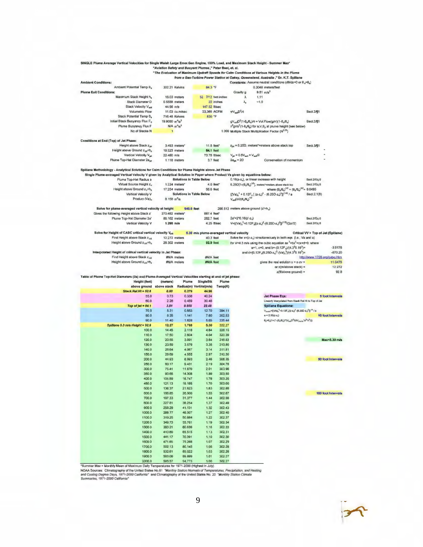| SINGLE Plume Average Vertical Velocities for Single Walsh Large Emer.Gen Engine, 100% Load, and Maximum Stack Height - Summer Max <sup>*</sup> |                                                           |                                 |                                           |           |                                                                   |                                                                                                                                         |                                     |
|------------------------------------------------------------------------------------------------------------------------------------------------|-----------------------------------------------------------|---------------------------------|-------------------------------------------|-----------|-------------------------------------------------------------------|-----------------------------------------------------------------------------------------------------------------------------------------|-------------------------------------|
|                                                                                                                                                | "Aviation Safety and Buoyant Plumes," Peter Best, et. al. |                                 |                                           |           |                                                                   |                                                                                                                                         |                                     |
|                                                                                                                                                |                                                           |                                 |                                           |           |                                                                   | "The Evaluation of Maximum Updraft Speeds for Calm Conditions at Various Heights in the Plume                                           |                                     |
|                                                                                                                                                |                                                           |                                 |                                           |           |                                                                   | from a Gas-Turbine Power Station at Oakey, Queensland, Australia ," Dr. K.T. Spillane                                                   |                                     |
| <b>Amblent Conditions:</b>                                                                                                                     |                                                           |                                 |                                           |           |                                                                   | Constants: Assume neutral conditions (d0/dz=0 or 0,=0,)                                                                                 |                                     |
| Ambient Potential Temp 8.                                                                                                                      | 302.21 Kelvins                                            |                                 | 84.3 °F                                   |           |                                                                   | 0.3048 meters/feet                                                                                                                      |                                     |
| <b>Plume Exit Conditions:</b>                                                                                                                  |                                                           |                                 |                                           |           | Gravity g                                                         | $9.81 \text{ m/s}^2$                                                                                                                    |                                     |
| Maximum Stack Height h.                                                                                                                        | 16.03 meters                                              |                                 | 52 7/12 feet-inches                       |           | λ                                                                 | 1.11                                                                                                                                    |                                     |
| Stack Diameter D                                                                                                                               | 0.5588 meters                                             |                                 |                                           | 22 inches | $\lambda_{\rm o}$                                                 | $-1.0$                                                                                                                                  |                                     |
| Stack Velocity V <sub>soll</sub>                                                                                                               | 44.96 m/s                                                 |                                 | 147.52 ft/sec                             |           |                                                                   |                                                                                                                                         |                                     |
| <b>Volumetric Flow</b>                                                                                                                         |                                                           | 11.03 cu.m/sec                  | 23,365 ACFM                               |           | $\pi V_{\text{max}}D^2/4$                                         |                                                                                                                                         | Sect.2/11                           |
| Stack Potential Temp 8,                                                                                                                        | 716.48 Kelvins                                            |                                 | 830 °F                                    |           |                                                                   |                                                                                                                                         |                                     |
| Initial Stack Buoyancy Flux F <sub>o</sub>                                                                                                     | 19.9080 m <sup>4</sup> /s <sup>3</sup>                    |                                 |                                           |           |                                                                   | $gV_{\text{ext}}D^{2}(1-\theta_{\text{ext}})\theta_{\text{e}})/4 = Vol.Flow(g/\pi)(1-\theta_{\text{ext}}\theta_{\text{e}})$             | Sect.2/11                           |
| Plume Buoyancy Flux F                                                                                                                          |                                                           | $N/A$ $m^4/h^3$                 |                                           |           |                                                                   | $\lambda^2$ gVa <sup>2</sup> (1- $\theta_a$ / $\theta_b$ ) for a, V, $\theta_b$ at plume height (see below)                             |                                     |
| No.of Stacks N                                                                                                                                 | $\mathbf{1}$                                              |                                 |                                           |           |                                                                   | 1.000 Multiple Stack Multiplication Factor (Nº.25)                                                                                      |                                     |
|                                                                                                                                                |                                                           |                                 |                                           |           |                                                                   |                                                                                                                                         |                                     |
| Conditions at End (Top) of Jet Phase:                                                                                                          |                                                           |                                 |                                           |           |                                                                   |                                                                                                                                         |                                     |
| Height above Stack zigt                                                                                                                        |                                                           | $3.493$ meters <sup>*</sup>     | 11.5 feet*                                |           |                                                                   | Ear = 6.25D, meters*=meters above stack top                                                                                             | Sect. 3/11                          |
| Height above Ground z  +h.                                                                                                                     | 19.523 meters                                             |                                 | <b>64.1 feet</b>                          |           |                                                                   |                                                                                                                                         |                                     |
| Vertical Velocity V <sub>int</sub>                                                                                                             | 22.480 m/s                                                |                                 | 73.75 ft/sec                              |           | $V_{\text{int}} = 0.6V_{\text{unit}} = V_{\text{unit}}/2$         |                                                                                                                                         |                                     |
| Plume Top-Hat Diameter 2aint                                                                                                                   |                                                           | 1.118 meters                    | 3.7 feet                                  |           | $2a_{m} = 2D$                                                     | Conservation of momentum                                                                                                                |                                     |
|                                                                                                                                                |                                                           |                                 |                                           |           |                                                                   |                                                                                                                                         |                                     |
| Spillane Methodology - Analytical Solutions for Calm Conditions for Plume Heights above Jet Phase                                              |                                                           |                                 |                                           |           |                                                                   |                                                                                                                                         |                                     |
| Single Plume-averaged Vertical Velocity V given by Analytical Solution in Paper where Product Va given by equations below:                     |                                                           |                                 |                                           |           |                                                                   |                                                                                                                                         |                                     |
| Plume Top-Hat Radius a                                                                                                                         |                                                           | Solutions in Table Below        |                                           |           |                                                                   | 0.18(z-z,), or linear increase with height                                                                                              | Sect.2/Eq.6                         |
| Virtual Source Height z <sub>v</sub>                                                                                                           |                                                           | $1.224$ meters*                 | $4.0$ feet*                               |           |                                                                   | $6.25D[1-(\theta_o/\theta_a)^{1/2}]$ , meters*=motars above stack top                                                                   | Sect 2/Eq.6                         |
| Height above Ground z <sub>v</sub> +h,                                                                                                         | 17.254 meters                                             |                                 | <b>56.6</b> feet                          |           |                                                                   | where $(\theta_s/\theta_a)^{1/2} = (\theta_s/\theta_a)^{1/2} = 0.6495$                                                                  |                                     |
| Vertical Velocity V                                                                                                                            |                                                           | <b>Solutions in Table Below</b> |                                           |           |                                                                   | ${(\sqrt{a})_0}^3 + 0.12F_o$ ${(x-z_0)}^3 - (6.25D-z_0)^2]$ <sup>(140</sup> /a                                                          | Sect.2.1(6)                         |
| Product (Va) <sub>o</sub>                                                                                                                      | 8.158 $m^2$ /a                                            |                                 |                                           |           | $V_{\text{coll}}[D/2(\theta_{\text{e}}/\theta_{\text{e}})^{1/2}]$ |                                                                                                                                         |                                     |
|                                                                                                                                                |                                                           |                                 |                                           |           |                                                                   |                                                                                                                                         |                                     |
| Solve for plume-averaged vertical velocity at height                                                                                           |                                                           | 940.0 feet                      |                                           |           | 286.512 meters above ground (z'+h.)                               |                                                                                                                                         |                                     |
| Gives the following Height above Stack z'                                                                                                      | 270.482 meters*                                           |                                 | 887.4 feet*                               |           |                                                                   |                                                                                                                                         |                                     |
| Plume Top-Hat Diameter 2a'                                                                                                                     | 86.162 meters                                             |                                 | 282.7 feet                                |           | $2a' = 2'0.16(z'-z_0)$                                            |                                                                                                                                         | Sect 2/Eq 6                         |
| Vertical Velocity V                                                                                                                            | $1.295$ m/s                                               |                                 | 4.25 fl/sec                               |           |                                                                   | $V=[(Va)_D^3+0.12F_d[(z-z_x)^2-(6.25D-z_x)^2]]^{(1/3)}/(2\pi/2)$                                                                        | Sect.2/Eq.6                         |
|                                                                                                                                                |                                                           |                                 |                                           |           |                                                                   |                                                                                                                                         |                                     |
| Solve for Height of CASC critical vertical velocity V <sub>ork</sub>                                                                           |                                                           |                                 | 5.30 m/s plume-averaged vertical velocity |           |                                                                   |                                                                                                                                         | Critical VV > Top of Jet (Spillane) |
| Find Height above Stack zoil                                                                                                                   | 12,272 meters                                             |                                 | 40.3 feet                                 |           |                                                                   | Solve for x=(z-z,) simultaneoualy in both eqs. (i.e., Va and a)                                                                         |                                     |
| Height above Ground z <sub>ort</sub> +h <sub>s</sub>                                                                                           | 28.302 meters                                             |                                 | 92.9 feet                                 |           |                                                                   | for V=4.3 m/s using the cubic equation ax <sup>3</sup> +bx <sup>2</sup> +cx+d=0, where                                                  |                                     |
|                                                                                                                                                |                                                           |                                 |                                           |           |                                                                   | $a=1$ , $c=0$ , and $b=- (0.12F_1)/(4.3^30.16^3)$ =                                                                                     | $-3.9176$                           |
| Interpolated Height of critical vertical velocity in Jet Phase:                                                                                |                                                           |                                 |                                           |           |                                                                   | and d=[0.12F <sub>o</sub> (6.25D-z <sub>v</sub> ) <sup>2</sup> -(Va) <sub>o</sub> <sup>3</sup> ]/(4.3 <sup>3</sup> 0.16 <sup>3</sup> )= | $-870.20$                           |
| Find Height above Stack zoe                                                                                                                    |                                                           | #N/A meters                     | #N/A feet                                 |           |                                                                   |                                                                                                                                         | http://www.1728.org/cubic.htm       |
|                                                                                                                                                |                                                           |                                 |                                           |           |                                                                   |                                                                                                                                         |                                     |
| Height above Ground $z_{\text{crit}} + h_n$                                                                                                    |                                                           | #N/A meters                     | #N/A feet                                 |           |                                                                   | gives the real solution $x = z - zv =$                                                                                                  | 11.0476                             |
|                                                                                                                                                |                                                           |                                 |                                           |           |                                                                   | or $z$ (m/above stack) =                                                                                                                | 12,272                              |
|                                                                                                                                                |                                                           |                                 |                                           |           |                                                                   | z(fVabove ground) =                                                                                                                     | 92.8                                |
| Table of Plume Top-Hat Diameters (2a) and Plume-Averaged Vertical Velocities starting at end of jet phase:                                     |                                                           |                                 |                                           |           |                                                                   |                                                                                                                                         |                                     |
| Height (feet)                                                                                                                                  | (meters)                                                  | Plume                           | <b>SingleStk</b>                          | Plume     |                                                                   |                                                                                                                                         |                                     |
| above ground                                                                                                                                   | above stack                                               |                                 | Radius(m) VertVel(m/s)                    | Temp(K)   |                                                                   |                                                                                                                                         |                                     |
| Stack.Rei.Ht = $52.6$                                                                                                                          | 0.00                                                      | 0.279                           | 44.96                                     |           |                                                                   |                                                                                                                                         |                                     |
| 55.0                                                                                                                                           | 0.73                                                      | 0.338                           | 40.24                                     |           |                                                                   | <b>Jet Phase Eqs:</b>                                                                                                                   | 5 foot Intervale                    |
| 60.0                                                                                                                                           | 2.26                                                      | 0.459                           | 30.46                                     |           |                                                                   | Linearly interpolated from Stack Rel.HI to Top of Jel                                                                                   |                                     |
| Top of jet = 84.1                                                                                                                              | 3.51                                                      | 0.559                           | 22.48                                     |           |                                                                   | <b>Spillane Equations:</b>                                                                                                              |                                     |
| 70.0                                                                                                                                           | 5.31                                                      | 0.653                           | 12.70                                     | 394.11    |                                                                   | $V_{\text{pamo}} \approx [(V_0)_0^3 + 0.12F_0[(z-z_0)^2 - (0.25D-z_0)^2])^{1/2}$ / a                                                    |                                     |
| 80.0                                                                                                                                           | 8.35                                                      | 1.141                           | 7.60                                      | 352.53    |                                                                   | $a = 0.16(z-z)$                                                                                                                         | 10 foot Intervals                   |
| 90.0                                                                                                                                           | 11.40                                                     | 1.628                           | 5.65                                      | 335.44    |                                                                   | $\theta_0 = \theta_0 (1 + (1 - (\theta_0/\theta_0))^*(V_{\text{out}} D^2 / (4V_{\text{plane}}^* \alpha^2 + \lambda^2)))$                |                                     |
| Spillane 5.3 m/s Height = 92.9                                                                                                                 | 12.27                                                     | 1.768                           | 5.30                                      | 332.27    |                                                                   |                                                                                                                                         |                                     |
| 100.0                                                                                                                                          | 14.45                                                     | 2.116                           | 4.64                                      | 326.15    |                                                                   |                                                                                                                                         |                                     |
| 110.0                                                                                                                                          | 17.50                                                     | 2.604                           | 4.04                                      | 320.39    |                                                                   |                                                                                                                                         |                                     |
| 120.0                                                                                                                                          | 20.55                                                     | 3.091                           | 3.64                                      | 316.53    |                                                                   |                                                                                                                                         | Max<6.30 m/a                        |
| 130.0                                                                                                                                          | 23.59                                                     | 3.579                           | 3.35                                      | 313.80    |                                                                   |                                                                                                                                         |                                     |
| 140.0                                                                                                                                          | 26.64                                                     | 4.067                           | 3,14                                      | 311.81    |                                                                   |                                                                                                                                         |                                     |
| 150.0                                                                                                                                          | 29.69                                                     | 4.555                           | 2.97                                      | 310.30    |                                                                   |                                                                                                                                         |                                     |
| 200.0                                                                                                                                          | 44.93                                                     | 6.993                           | 2.46                                      | 306.35    |                                                                   |                                                                                                                                         | 50 foot Intervals                   |
| 250.0                                                                                                                                          | 60.17                                                     | 9.431                           | 2.19                                      | 304.76    |                                                                   |                                                                                                                                         |                                     |
| 300.0                                                                                                                                          | 75.41                                                     | 11,870                          | 2.01                                      | 303.96    |                                                                   |                                                                                                                                         |                                     |
| 350.0                                                                                                                                          | 90.65                                                     | 14.308                          | 1.89                                      | 303.50    |                                                                   |                                                                                                                                         |                                     |
| 400.0                                                                                                                                          | 105.89                                                    | 16.747                          | 1.76                                      | 303.20    |                                                                   |                                                                                                                                         |                                     |
| 450.0                                                                                                                                          | 121.13                                                    | 19.185                          | 1.70                                      | 303.00    |                                                                   |                                                                                                                                         |                                     |
| 500.0                                                                                                                                          | 136.37                                                    | 21,823                          | 1,63                                      | 302.86    |                                                                   |                                                                                                                                         |                                     |
| 600.0                                                                                                                                          | 166.85                                                    | 26.500                          | 1.53                                      | 302.67    |                                                                   |                                                                                                                                         | 100 foot Intervals                  |
| 700.0                                                                                                                                          | 197.33                                                    | 31.377                          | 1.44                                      | 302.56    |                                                                   |                                                                                                                                         |                                     |
| 600.D                                                                                                                                          | 227.81                                                    | 36.254                          | 1,37                                      | 302.49    |                                                                   |                                                                                                                                         |                                     |
| 900.0                                                                                                                                          | 258.29                                                    | 41.131                          | 1.32                                      | 302.43    |                                                                   |                                                                                                                                         |                                     |
| 1000.0                                                                                                                                         | 288.77                                                    | 46.007                          | 1.27                                      | 302.40    |                                                                   |                                                                                                                                         |                                     |
| 1100.0                                                                                                                                         | 319.25                                                    | 50.884                          | 1.22                                      | 302.37    |                                                                   |                                                                                                                                         |                                     |
| 1200.0                                                                                                                                         | 349.73                                                    | 55.761                          | 1.19                                      | 302.34    |                                                                   |                                                                                                                                         |                                     |
| 1300.D                                                                                                                                         | 380.21                                                    | 60.638                          | 1.16                                      | 302.33    |                                                                   |                                                                                                                                         |                                     |
| 1400.0                                                                                                                                         | 410.69                                                    | 65.515                          | 1.13                                      | 302.31    |                                                                   |                                                                                                                                         |                                     |
| 1500.0                                                                                                                                         | 441.17                                                    | 70.391                          | 1,10                                      | 302.30    |                                                                   |                                                                                                                                         |                                     |
| 1600.0                                                                                                                                         | 471,65                                                    | 75.268                          | 1.07                                      | 302.29    |                                                                   |                                                                                                                                         |                                     |
| 1700.0                                                                                                                                         | 502.13                                                    | 80.145                          | 1.05                                      | 302.28    |                                                                   |                                                                                                                                         |                                     |
| 1800.0                                                                                                                                         | 532.61                                                    | 85.022                          | 1.03                                      | 302.28    |                                                                   |                                                                                                                                         |                                     |
| 1900.0                                                                                                                                         | 563.09                                                    | 89.899                          | 1.01                                      | 302.27    |                                                                   |                                                                                                                                         |                                     |

"Summer Max = Monithly Mean of Maximum Daily Temperatures for 1947.75 100 302.27<br>NOAA Sources: Climatography of the United States No.81 "Monthly Station Normals of Temperatures, Precipitation, and Heating<br>NOAA Sources: Cli

 $\overline{z}$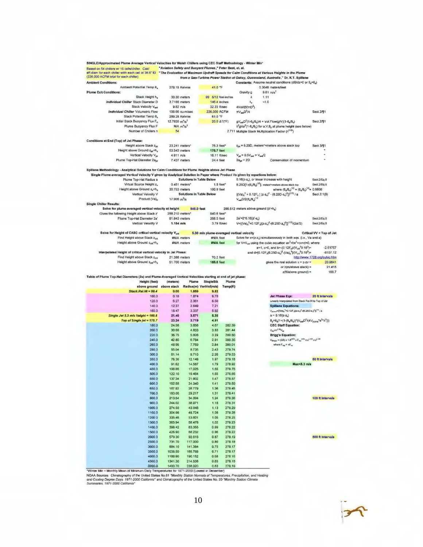| Based on 54 chillers w/ 16 cells/chiller. Calc'<br>eff diam for each chiller with each cell at 36.6" ID                    | "Aviation Safety and Buoyant Plumes," Peter Best, et. al. |                                 |                                           |                  |                                                         |                                                                                                                                                                                       |                               |
|----------------------------------------------------------------------------------------------------------------------------|-----------------------------------------------------------|---------------------------------|-------------------------------------------|------------------|---------------------------------------------------------|---------------------------------------------------------------------------------------------------------------------------------------------------------------------------------------|-------------------------------|
| (226,000 ACFM total for each chiller)                                                                                      |                                                           |                                 |                                           |                  |                                                         | "The Evaluation of Maximum Updraft Speeds for Calm Conditions at Various Heights in the Plume<br>from a Gas-Turbine Power Station at Oakey, Queensland, Australia," Dr. K.T. Spillane |                               |
| <b>Ambient Conditions:</b>                                                                                                 |                                                           |                                 |                                           |                  |                                                         | Constants: Assume neutral conditions (de/dz=0 or 8a=8a)                                                                                                                               |                               |
| Ambient Potential Temp B,                                                                                                  | 278.15 Kelvins                                            |                                 | 41.0 °F                                   |                  |                                                         | 0.3048 meters/feet                                                                                                                                                                    |                               |
| <b>Plume Exit Conditions:</b>                                                                                              |                                                           |                                 |                                           |                  | Gravity g                                               | $9.81 \text{ m/s}^2$                                                                                                                                                                  |                               |
| Stack Height h,<br>Individual Chiller Stack Diameter D                                                                     | 30,30 meters                                              |                                 | 99 5/12 feet-inches<br>146.4 inches       |                  | λ                                                       | 1.11<br>$-1.0$                                                                                                                                                                        |                               |
| Stack Velocity Var                                                                                                         | 3.7186 meters<br>$9.82$ m/s                               |                                 | 32.22 ft/sec                              |                  | ٨,<br>4Vol/(60mD <sup>2</sup> )                         |                                                                                                                                                                                       |                               |
| Individual Chiller Volumetric Flow                                                                                         | 106.66 cu.m/sec                                           |                                 | 226,000 ACFM                              |                  | $\pi V_{\text{null}}D^2/4$                              |                                                                                                                                                                                       | Sect.2/¶1                     |
| Stack Potential Temp B <sub>s</sub>                                                                                        | 289.26 Kelvins                                            |                                 | 61.0 °F                                   |                  |                                                         |                                                                                                                                                                                       |                               |
| Initial Stack Buoyancy Flux Fo                                                                                             | 12.7935 $m^{4}/s^{3}$                                     |                                 | 20.0 ΔT(*F)                               |                  |                                                         | $gV_{\text{mod}}D^2(1-\theta_{\text{m}}/\theta_{\text{m}})/4 = Vol.$ Flow(g/m)(1-8 $g$ / $\theta_{\text{m}}$ )                                                                        | Secl.2/¶1                     |
| Plume Buoyancy Flux F                                                                                                      | $N/A$ $m^4/s^3$                                           |                                 |                                           |                  |                                                         | $\lambda^2$ g $Va^2(1-\theta_n/\theta_0)$ for a, $V, \theta_0$ at plume height (see below)                                                                                            |                               |
| Number of Chillers n                                                                                                       | 54                                                        |                                 |                                           |                  |                                                         | 2.711 Multiple Stack Multiplication Factor (nº 25)                                                                                                                                    |                               |
|                                                                                                                            |                                                           |                                 |                                           |                  |                                                         |                                                                                                                                                                                       |                               |
| Conditions at End (Top) of Jet Phase:                                                                                      |                                                           |                                 |                                           |                  |                                                         |                                                                                                                                                                                       |                               |
| Height above Stack Ziet<br>Height above Ground zw+h.                                                                       | 23.241 meters*<br>53.543 meters                           |                                 | 76.3 feet*<br>175.7 feet                  |                  |                                                         | z <sub>ia</sub> = 6.25D, meters*=meters above stack top                                                                                                                               | Sect 3/11                     |
| Vertical Velocity Viat                                                                                                     | 4.911 m/s                                                 |                                 | 16.11 ft/sec                              |                  | $V_{\text{rel}} = 0.5V_{\text{end}} = V_{\text{end}}/2$ |                                                                                                                                                                                       |                               |
| Plume Top-Hat Diameter 2a <sub>id</sub>                                                                                    | 7.437 meters                                              |                                 | 24.4 feet                                 |                  | $2a_{\text{int}} = 2D$                                  | Conservation of momentum                                                                                                                                                              |                               |
|                                                                                                                            |                                                           |                                 |                                           |                  |                                                         |                                                                                                                                                                                       |                               |
| Spillane Methodology - Analytical Solutions for Calm Conditions for Plume Heights above Jet Phase                          |                                                           |                                 |                                           |                  |                                                         |                                                                                                                                                                                       |                               |
| Single Plume-averaged Vertical Velocity V given by Analytical Solution in Paper where Product Va given by equations below: |                                                           |                                 |                                           |                  |                                                         |                                                                                                                                                                                       |                               |
| Plume Top-Hat Radius a                                                                                                     |                                                           | <b>Solutions in Table Below</b> |                                           |                  |                                                         | 0.16(z-z,), or linear increase with height                                                                                                                                            | Sect 2/Eq.6                   |
| Virtual Source Height z.                                                                                                   | 0.451 meters*                                             |                                 | $1.5$ feet $^*$                           |                  |                                                         | $6.25D[1-(\theta_p/\theta_h)^{1/2}]$ , metars*=meters above stack top                                                                                                                 | Sect.2/Eq.6                   |
| Height above Ground z,+h,                                                                                                  | 30,753 meters                                             |                                 | 100 9 feet                                |                  |                                                         | where $(\theta_a/\theta_b)^{1/2} = (\theta_a/\theta_a)^{1/2} = 0.9808$                                                                                                                |                               |
| Vertical Velocity V                                                                                                        |                                                           | Solutions in Table Below        |                                           |                  |                                                         | ${((\sqrt{a})_0^3 + 0.12F_0 [(z-a_0)^2 - (0.25D-z_0)^2]}^{(1/3)}/8$                                                                                                                   | Secl.2.1(8)                   |
| Product (Va).                                                                                                              | 17.906 $m^2/s$                                            |                                 |                                           |                  | $V \rightarrow D/2(0, 10)$ <sup>1/2</sup>               |                                                                                                                                                                                       |                               |
| <b>Single Chiller Results:</b>                                                                                             |                                                           |                                 |                                           |                  |                                                         |                                                                                                                                                                                       |                               |
| Solve for plume-averaged vertical velocity at height                                                                       | 256,210 meters'                                           | 940.0 feet                      | 840.6 feet*                               |                  | 286.512 meters above ground (z'+h,)                     |                                                                                                                                                                                       |                               |
| Gives the following Height above Stack z'<br>Plume Top-Hat Diameter 2a'                                                    |                                                           |                                 | 268.5 feet                                |                  | $2a' = 2^{\circ}0.16(z - z)$                            |                                                                                                                                                                                       |                               |
|                                                                                                                            | 81.843 meters                                             |                                 | 3.79 ft/sec                               |                  |                                                         | $V = { (Va)_o^3 + 0.12F_o[(z-z_v)^2 + (8.25D-z_v)^2]]^{(1/3)}/(2a'/2)}$                                                                                                               | Sect2/Eq.6<br>Seci.2/Eq.6     |
| Vertical Velocity V                                                                                                        | $1.154$ m/s                                               |                                 |                                           |                  |                                                         |                                                                                                                                                                                       |                               |
| Solve for Height of CASC critical vertical velocity V <sub>crit</sub>                                                      |                                                           |                                 | 5.30 m/s plume-averaged vertical velocity |                  |                                                         |                                                                                                                                                                                       | Critical VV < Top of Jet      |
| Find Height above Stack Zas                                                                                                | #N/A meters                                               |                                 | #N/A feet                                 |                  |                                                         | Solve for x=(z-z <sub>u</sub> ) simultaneously in both eqs. (i.e., Va and a)                                                                                                          |                               |
| Height above Ground z <sub>crit</sub> +h <sub>s</sub>                                                                      | #N/A meters                                               |                                 | <b>#N/A</b> feet                          |                  |                                                         | for $V = V_{\text{cut}}$ using the cubic equation $\text{ar}^3 + \text{bx}^2 + \text{cx} + \text{d} = 0$ , where                                                                      |                               |
|                                                                                                                            |                                                           |                                 |                                           |                  |                                                         | a=1, c=0, and b=- $(0.12F_0)/(V_{\text{crit}}^30.16^3)$ =                                                                                                                             | $-2.51757$                    |
| Interpolated Height of critical vertical velocity in Jet Phase:                                                            |                                                           |                                 |                                           |                  |                                                         | and d={0.12F <sub>p</sub> (6.25D-z <sub>v</sub> ) <sup>2</sup> -(Va) <sub>p</sub> <sup>3</sup> )/(V <sub>pti</sub> <sup>3</sup> 0.16 <sup>3</sup> )=                                  | $-8107.12$                    |
| Find Height above Stack Zort                                                                                               | 21.398 meters                                             |                                 | 70.2 feet                                 |                  |                                                         |                                                                                                                                                                                       | http://www.1728.org/cubic.htm |
| Height above Ground 2 <sub>ct0</sub> +h <sub>s</sub>                                                                       | 51.700 meters                                             |                                 | 169.6 feet                                |                  |                                                         | gives the real solution $x = z$ -zv =                                                                                                                                                 | 20.9641                       |
|                                                                                                                            |                                                           |                                 |                                           |                  |                                                         | or $z(m/above$ stack) =                                                                                                                                                               | 21.415                        |
|                                                                                                                            |                                                           |                                 |                                           |                  |                                                         | z(ft/above ground) =                                                                                                                                                                  | 169.7                         |
| Table of Plume Top-Hat Diameters (2a) and Plume-Averaged Vertical Velocities starting at end of jet phase:                 |                                                           |                                 |                                           |                  |                                                         |                                                                                                                                                                                       |                               |
| Height (feet)                                                                                                              | (motora)                                                  | Plume                           | <b>SingleStk</b>                          | Plume            |                                                         |                                                                                                                                                                                       |                               |
| above ground<br>Stack.Rei.Ht = 99.4                                                                                        | above stack<br>0.00                                       | 1.869                           | Radius(m) VertVel(m/s)<br>9.82            | Temp(K)          |                                                         |                                                                                                                                                                                       |                               |
| 100.0                                                                                                                      | 0.18                                                      | 1.874                           | 9,78                                      |                  |                                                         | <b>Jet Phase Eqa:</b>                                                                                                                                                                 | 20 ft Intervals               |
| 120.0                                                                                                                      | 6.27                                                      | 2.361                           | 8.50                                      |                  |                                                         | Linearly Interpolated from Stack Rei.Ht to Top of Jet                                                                                                                                 |                               |
| 140.0                                                                                                                      | 12.37                                                     | <b>2849</b>                     | 7.21                                      |                  |                                                         | <b>Spillane Equations:</b>                                                                                                                                                            |                               |
| 160.0                                                                                                                      | 18.47                                                     | 3.337                           | 5.92                                      |                  |                                                         | Volume <sup>28</sup> (VB) <sub>2</sub> <sup>3</sup> +0.12F <sub>a</sub> [(z-z <sub>a</sub> ) <sup>2</sup> -(6.25D-z <sub>a</sub> ) <sup>2</sup> ]} <sup>1/2</sup> / a                 |                               |
| Single Jet 5.3 m/s Height = 169.6                                                                                          | 21.40                                                     | 3.571                           | 5.30                                      |                  |                                                         | $a = 0.18(z-z_v)$                                                                                                                                                                     |                               |
| Top of Single jet = 175.7                                                                                                  | 23.24                                                     | 3.719                           | 4.91                                      |                  |                                                         | $\theta_{p} = \theta_{p} (1 + (1 - (\theta_{q} / \theta_{q}))^{a} (\sqrt{1 - \theta_{q} N^{2}}) + (1 - (\theta_{q} / \theta_{q}))^{a})$                                               |                               |
| 180.0                                                                                                                      | 24.56                                                     | 3.858                           | 4.67                                      | 282.39           |                                                         | <b>CEC Staff Equation:</b>                                                                                                                                                            |                               |
| 200.0                                                                                                                      | 30.66                                                     | 4.833                           | 3.83                                      | 281.44           |                                                         | $V_{\text{eq}} = n^{0.25} V_{\text{eq}}$                                                                                                                                              |                               |
| 220.0                                                                                                                      | 36.75                                                     | 5.808                           | 3.29                                      | 280.80           |                                                         | <b>Brigg's Equation:</b>                                                                                                                                                              |                               |
| 240.0                                                                                                                      | 42.85                                                     | 6.784                           | 2.91                                      | 280.35           |                                                         | $V_{\text{Bylomb}} = (2/3) \times 1.8^{(3/2)} \times F_{\text{vac}}^{(4/2)} \times u^{(-1/2)} \times x^{(-1/2)}$                                                                      |                               |
| 260.0                                                                                                                      | 48.95                                                     | 7.759                           | 2,84                                      | 280.01           |                                                         | where $F_{ng} = nF_{sp}$                                                                                                                                                              |                               |
| 280.0                                                                                                                      | 55.04                                                     | <b>B.735</b>                    | 2.43                                      | 279.74           |                                                         |                                                                                                                                                                                       |                               |
|                                                                                                                            | 61.14                                                     | 9.710                           |                                           |                  |                                                         |                                                                                                                                                                                       |                               |
| 300.0                                                                                                                      |                                                           |                                 | 2.26                                      | 279.53           |                                                         |                                                                                                                                                                                       |                               |
| 350.0                                                                                                                      | 78.38                                                     | 12.148                          | 1.97                                      | 279.18           |                                                         |                                                                                                                                                                                       | 50 ft Intervals               |
| 400.0                                                                                                                      | 91.62                                                     | 14.587                          | 1,79                                      | 278.92           |                                                         | lavek <sub>3 ml</sub>                                                                                                                                                                 |                               |
| 450.0                                                                                                                      | 106.86                                                    | 17.025                          | 1.65                                      | 278.76           |                                                         |                                                                                                                                                                                       |                               |
| 500.0                                                                                                                      | 122.10                                                    | 19.464                          | 1.55                                      | 278.65           |                                                         |                                                                                                                                                                                       |                               |
| 550.0                                                                                                                      | 137.34                                                    | 21.902                          | 1.47                                      | 278.57           |                                                         |                                                                                                                                                                                       |                               |
| 600.0                                                                                                                      | 152.58                                                    | 24.340                          | 1,41                                      | 278.50           |                                                         |                                                                                                                                                                                       |                               |
| 650.0                                                                                                                      | 167.82                                                    | 26.779                          | 1.36                                      | 278.45           |                                                         |                                                                                                                                                                                       |                               |
| 700.0                                                                                                                      | 183.06                                                    | 29.217                          | 1.31                                      | 278.41           |                                                         |                                                                                                                                                                                       |                               |
| 800.0                                                                                                                      | 213.54                                                    | 34.094                          | 1.24                                      | 278.36           |                                                         |                                                                                                                                                                                       | 100 ft Intervals              |
| 900.0                                                                                                                      | 244.02                                                    | 38.971                          | 1.1B                                      | 278.31           |                                                         |                                                                                                                                                                                       |                               |
| 1000.0                                                                                                                     | 274.50                                                    | 43.848                          | 1.13                                      | 278.29           |                                                         |                                                                                                                                                                                       |                               |
| 1100.0                                                                                                                     | 304.98                                                    | 48.724                          | 1.08                                      | 278.26           |                                                         |                                                                                                                                                                                       |                               |
| 12000                                                                                                                      | 335.46                                                    | 53.601                          | 1.05                                      | 278.25           |                                                         |                                                                                                                                                                                       |                               |
| 1300.0                                                                                                                     | 365.94                                                    | 58.478                          | 1.02                                      | 278.23           |                                                         |                                                                                                                                                                                       |                               |
| 1400.0                                                                                                                     | 396.42                                                    | 63.355                          | 0.99                                      | 278.22           |                                                         |                                                                                                                                                                                       |                               |
| 1500.0                                                                                                                     | 426.90                                                    | 68.232                          | 0.96                                      | 278.22           |                                                         |                                                                                                                                                                                       |                               |
| 2000.0                                                                                                                     | 579.30                                                    | 92.616                          | 0.87                                      | 278.19           |                                                         |                                                                                                                                                                                       | 500 ft Intervals              |
| 2500.0                                                                                                                     | 731.70                                                    | 117.000                         | 0.80                                      | 278.18           |                                                         |                                                                                                                                                                                       |                               |
| 3000.0                                                                                                                     | 884.10                                                    | 141.384                         | 0.75                                      | 278.17           |                                                         |                                                                                                                                                                                       |                               |
| 3500.0                                                                                                                     | 1036.50                                                   | 165.768                         | 0.71                                      | 278.17           |                                                         |                                                                                                                                                                                       |                               |
| 4000.0                                                                                                                     | 1188.90                                                   | 190.152                         | 0.68                                      | 278.16           |                                                         |                                                                                                                                                                                       |                               |
| 4500.0<br>5090.0                                                                                                           | 1341.30<br>1493.70                                        | 214.538<br>238.920              | 0.65<br>0.63                              | 278.16<br>278.18 |                                                         |                                                                                                                                                                                       |                               |

E090.0 1493.70 238.920 0.83 278.18<br>No Hall Find Taily Temperatures for 1971-2000 (Lowest in December)<br>NOAA Sources: Climatography of the United States No.61 "Monthly Station Normals of Temperatures, Precipitation, and Heat

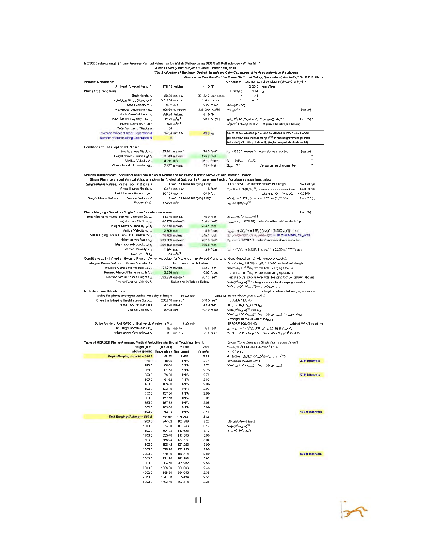MERGED (along length) Plume Average Vertical Velocities for Walsh Chillers using CEC Staff Methodology - Winter Min\* .<br>Aviation Safety and Buoyant Plumes," Peter Best, et. al. "The Evaluation of Maximum Updraft Speeds for Calm Conditions at Various Heights in the Merged Plume from Two Gas-Turbine Power Station at Oakey, Queensland, Australia," Dr. K.T. Spillane **Ambient Conditions:** Constants: Assume neutral conditions (dB/dz=0 or  $\theta_a$ = $\theta_b$ ) Ambient Potential Temp θ<sub>a</sub> 278 15 Kelvins 41.0 °F 0.3048 meters/feet  $9.81 \text{ m/s}^2$ Plume Exit Conditions: Gravity g 99 5/12 feet-inches Stack Height h. 30 30 meters  $1.11$  $\lambda$ Individual Stack Diameter D 3.71856 meters 146.4 inches  $~1.0$ Stack Velocity V<sub>red</sub> 9 82 m/s 32 22 ft/sec 4Vol/(60mD<sup>2</sup>) Individual Volumetric Flow  $\pi V_{ext} D^2/4$ 106.66 cu.m/sec 226,000 ACFM Sect.2/11 Stack Potential Temp 8. 289.26 Kelvins 61.0 °F Initial Stack Buoyancy Flux Fo 20.0  $\Delta T("F)$  $\mathsf{g}\mathsf{V}_{\mathsf{ew}}\mathsf{D}^2(1\text{-}\mathsf{G}_{\mathsf{a}}\!\!/\!\mathsf{G}_{\mathsf{u}}\!)/\!4=\mathsf{Vol}.\mathsf{Flow}(\mathsf{g}/\!\pi)(1\text{-}\mathsf{G}_{\mathsf{a}}\!\!/\!\mathsf{G}_{\mathsf{s}})$ 12.79  $m^4/s^3$ Sect.2/11  $\lambda^2$ g $\sqrt{a^2(1-\theta_p/\theta_p)}$  for a  $\nabla.\theta_p$  at plume height (see below) Plume Buoyancy Flux F  $N/A$  m<sup>4</sup>/s<sup>3</sup> Total Number of Stacks n 54 Average Adjacent Stack Separation d 14.94 meters 49.0 feet Calcs based on multiple plume treatment in Peter Best Paper. Number of Stacks along Orientation N 6 lume velocities increased by M<sup>e 25</sup> at the height where plumes fully merged (interp. below ht, single merged stack above ht) Conditions at End (Top) of Jet Phase: Height above Stack Zjet  $z_{jet}$  = 6.25D, meters\*=meters above stack top 23.241 meters\* 76.3 feet\* Sect.3/11 Height above Ground zier+h, 53.543 meters **175.7 feet**  $\bar{\bar{V}}_{\rm jet} \approx 0.5 \bar{V}_{\rm dust} \approx \bar{V}_{\rm em}/2$ Vertical Velocity Viet  $4.911 \text{ m/s}$ 16.11 ft/sec Plume Top-Hat Diameter 2a<sub>jar</sub> 7.437 meters 24.4 feet  $2a_{\text{el}} = 2D$ Conservation of momentum Spillane Methodology - Analytical Solutions for Calm Conditions for Plume Heights above Jet and Merging Phases Single Plume-averaged Vertical Velocity V given by Analytical Solution in Paper where Product Va given by equations below: Single Plume Values: Plume Top-Hat Radius a Used in Plume Merging Only  $a = 0.16(z-z)$ , or linear increase with height Sect.2/Eq.6 oect 2F<br>
where  $(\theta_x \theta_0)^{1/2} = (\theta_x \theta_0)^{1/2} = 0.9605$ <br>
where  $(\theta_x \theta_0)^{1/2} = (\theta_x \theta_0)^{1/2} = 0.9605$ <br>
{{Va}<sub>2</sub><sup>3</sup> + 0.12F<sub>5</sub>  $\{z-z_0\}^2 - (6.25D-z_0)^2$ }<sup>{{(10}</sup>*f* 8 Sect 2.1<br>  $V_{\text{ext}}(D/2)(\theta_x \theta_0)^{1/2}$ Virtual Source Height z.,  $0.451$  meters\* 1.5 feet\* Sect 2/Eq 6 Height above Ground z<sub>v<sup>+h</sup>s</sub> 100.9 feet 30.753 meters Vertical Velocity V Single Plume Values: Used in Plume Merging Only Sect 2.1(6) Product (Va) 17.906  $m^2/s$ Plume Merging - Based on Single Plume Calculations where Sect.3m3 Begin Merging Plume Top-Hat Diameter 2a<sub>touth</sub><br>Begin Merging Plume Top-Hat Diameter 2a<sub>touth</sub> 2a<sub>touc</sub>,=d, (or a<sub>touch</sub>=d/2)<br>|z<sub>touch</sub> = z<sub>v</sub>+d/(2\*0.16), meters\*=meters above stack top 14.940 meters 49.0 feet 47.138 meters\* 154.7 feet\* 77.440 meters Height above Ground z<sub>toucr</sub>+h<sub>s</sub> 254.1 feet Vertical Velocity V<sub>routh</sub>  $\bigvee_{\text{taut}}=\{(Va)_o^{-2}+0.12F_o\ [\ (z\text{-}z_v)^2-(6.25D\text{-}z_v)^2]\}^{(1/3)}/$ a  $2.709$  m/s 8.9 ft/sec 1/2, (or a<sub>ful</sub>=d(N-1)/2) FOR 2 STACKS, 2a<sub>full</sub>=2d Total Merging Plume Top-Hat Diameter 2au 74.700 meters 245.1 feet Height above Stack zta 233.888 meters\* 767.3 feet\*  $z_{f_{16}} = z$ <sub>2</sub>+2d/(2\*0.16), meters\*=meters above stack top Height above Ground  $z_{\text{full}} + h_s$ 264.190 meters 866.8 feet Vertical Velocity V<sub>ful</sub>  $1.194$  m/s 3.9 ft/sec  $\bigvee_{i\in I} = \big\{(\forall a)_{0}^{-3} + 0.12F_{\circ}\, \big[\,\, \big(z_{i\in I}\cdot z_{v}\big)^{2} - \big(6.25D\cdot z_{v}\big)^{2}\big]\big\}^{(1/3)}\,/\,a_{\rm full}$  $64 \text{ m}^4\text{/s}^3$ Product  $(\nabla^3 a)_{tot}$ Conditions at End (Top) of Merging Phase - Define new values for V<sub>hill</sub> and a<sub>he</sub> in Merged Plume calculations (based on TOTAL number of stacks): Merged Plume Values: Plume Diameter 2a Solutions in Table Below  $2a = 2 \times (a_m + 0.16(z-z_{i,j}))$ , or linear increase with height Revised Merged Plume Radius a, 101.249 meters 332.2 feet where  $a_m = n^{0.25} a_{h\text{III}}$  where Total Merging Occurs Revised Merged Plume Velocity V. and  $V_m = n^{0.25} V_{full}$  where Total Merging Occurs  $3.236$  m/s 10.62 ft/sec Revised Virtual Source Height 2NH 233.888 meters\* 767.3 feet\* Height above stack where Total Merging Occurs (shown above) Solutions in Tables Below V={n(V<sup>3</sup>a)<sub>ful</sub>/a}<sup>1/3</sup> for heights above total merging elevation<br>V=V<sub>toush</sub>+(V<sub>in</sub>-V<sub>iewa</sub>)\*(2-z<sub>toush</sub>)/(z<sub>h-4</sub>-z<sub>kosh</sub>) Revised Vertical Velocity V **Multiple Plume Calculations** for heights below total merging elevation Solve for plume-averaged vertical velocity at height 940.0 feet 286.512 meters above ground  $(z+h_s)$ 840.6 feet\* Gives the following Height abeve Stack z 256.210 meters\* **REGULAR EONS** Plume Top-Hat Radius a 104.820 meters 343.9 feet  $a=a_m+0.16(z-z_{full})$  if  $z>z_{full}$ Vertical Velocity V  $3.198$  m/s 10.49 ft/sec V={n(V<sup>3</sup>a)<sub>ful</sub>/a}<sup>1/3</sup> if z>z<sub>full</sub>  $V = V_{\text{foch}} + (V_m - V_{\text{found}})^2 (z - z_{\text{found}})/(z_{\text{full}} - z_{\text{found}})$  if  $z_{\text{foud}} \leq z \leq z_{\text{full}}$  $V = \frac{1}{2}$  where  $V = \frac{1}{2}$ Solve for Height of CASC critical vertical velocity V<sub>ce</sub> Critical VV < Top of Jet 5.30 m/s BEFORE TOUCHING -<br><sup>≘</sup>ind Height above Stack z<sub>cri</sub> JET meters **JET** feet  $z_{\text{crit}} = z_{\text{full}} + \{[\text{n}(\nabla^2 \text{a})_{\text{full}}/(\text{V}_{\text{crit}})^2] \cdot \text{a}_m\}/0.16 \text{ if } \text{V}_{\text{crit}} < \text{V}_{\text{in}}$ Height above Ground z<sub>out</sub>+h, JET meters **JET** feet Zest=Ziguen+(Ziut-Ziguen)\*(Verit-Viouen)/(Vm-Viouen) If Verg>Vm Table of MERGED Plume-Averaged Vartical Valocities starting at Touching Height: Single Plume Eqns (see Single Plume spreadsheet) Vert.  $\rm V_{plsra}\!\!=\!\!\{(Va)_a^3\!\!+\!\!0.12F_3[(z\!\!-\!\!R_s)^2\!\!-\!\!(6.25D\!\!-\!\!z_o)^2]\}^{1/3}/a$ Height (feet) (meters) Plume above ground above stack Radius(m) Vel(m/s)  $a = 0.16(z-z_1)$  $\Theta_{\text{p}}{=} \Theta_{\text{s}}(1{+}(1{+}( \Theta_{\text{p}} \Theta_{\text{s}}))^* (\mathsf{V}_{\text{exit}} \mathsf{D}^2/ (4 \mathsf{V}_{\text{plane}} {^*} \mathsf{a}^{2*}\lambda^2)))$ Begin Merging (touch) = 254.1 47.15 7.470  $2.71$ 4895  $271$ terpolated Layer Eqns 20 ft Intervals  $260.0$ #N/A  $\nabla = \nabla_{\text{inact}} + (\nabla_{\text{inact}})^*(z - z_{\text{inact}})/(z_{\text{in}} - z_{\text{out}})$ 280.0 55.04 #N/A 2.73 61 14 300.0 #N/A  $275$ 350.0 76.38 #N/A 2.79 50 ft Intervals 400.0 91 62 #N/A 283 450.0 106.86 #N/A 2.88 500.0 122.10 #N/A 2.92 550.0 137.34 #N/A 2.96 600.0 152.58 #N/A 3.01 650.0 167.82 **#N/A** 3.05 #N/A 700.0 183.06 3.09 800.0 213.54 #N/A 100 ft Intervals 318 End Merging (full/mp) =  $866.8$ 233.90 101.249  $3.24$ 900.0 244.02 102.869 3 2 2 Merged Plume Egns 1000.0 274.50 107.746  $3.17$  $V = {n(V^3a)_6} / a$ <sup>1/2</sup>  $a=a_m+0.16(z-z_{full})$ 1100.0 304.98 112.623  $3.12$ 1200.0 335.46 117.500 3.08  $1300.0$ 365.94 122.377  $3.04$ 

500 ft Intervals



300

2.96

280

2.67

2.56

 $2.46$ 

2.38

231

 $2.25$ 

1400.0

1500.0

2000.0

2500.0

3000.0

3500.0

4000.0

4500.0

 $5000.0$ 

396.42

426.90

579.30

731.70

884 10

1036.50

1188.90

1341.30

1493.70

127.253

132.130

156.514

180,898

205.282

229,666

254.050

278.434

302.818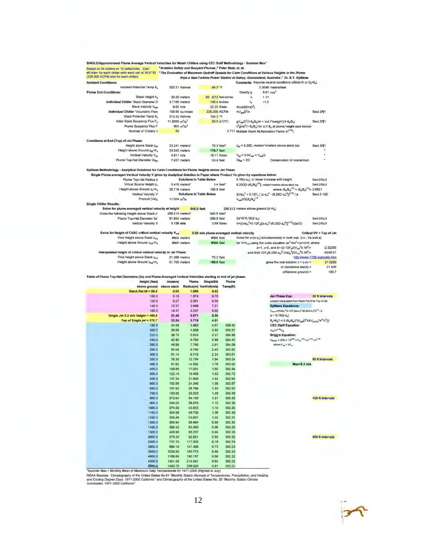| eff.diam for each chiller with each cell at 36.6" ID "The Evaluation of Maximum Updraft Speeds for Calm Conditions at Various Heights in the Plume<br>(226,000 ACFM total for each chiller)<br>from a Gas-Turbine Power Station at Oakey, Queensland, Australia," Dr. K.T. Spillane<br>Constants: Assume neutral conditions (d8/dz=0 or 8 <sub>a</sub> =8 <sub>a</sub> )<br><b>Ambient Conditions:</b><br>Ambient Potential Temp B.<br>302.21 Kelvins<br>84.3 °F<br>0.3048 meters/feet<br><b>Plume Exit Conditions:</b><br>$9.81 \text{ m/s}^2$<br>Gravity g<br>Stack Height h.<br>99 5/12 feet-inches<br>1.11<br>30.30 meters<br>λ<br>Individual Chiller Stack Diameter D.<br>3.7186 meters<br>$-1.0$<br>146.4 inches<br>λ,<br>Stack Velocity Van<br>$9.82$ m/s<br>32.22 ft/sec<br>4Vol/(60πD <sup>2</sup> )<br>Individual Chiller Volumetric Flow<br>228,000 ACFM<br>$\pi V_{\text{null}} D^2/4$<br>106.66 cu.m/sec<br>Stack Potential Temp B.<br>313.32 Kelvins<br>104.3 °F<br>Initial Stack Buoyancy Flux Fo<br>11.8065 $m^4/s^3$<br>$gV_{\text{mod}}D^2(1-\theta_0/\theta_1)/4 = Vol.$ Flow(g/m)(1-8,/ $\theta_0$ )<br>20.0 ΔΤ(*F)<br>$N/A$ $m^4/s^3$<br>Plume Buoyancy Flux F<br>$\lambda^2$ g $Va^2(1-\theta_n/\theta_n)$ for a, V, $\theta_n$ at plume height (see below)<br>Number of Chillers n<br>54<br>2.711 Multiple Stack Multiplication Factor (nº 25)<br><b>Conditions at End (Top) of Jet Phase:</b><br>$z_{\text{est}}$ = 6.25D, meters*=meters above stack top<br>Height above Stack 2ist<br>76.3 feet*<br>23.241 meters*<br>Height above Ground zw+h.<br>53,543 meters<br>175.7 feet<br>Vertical Velocity Viat<br>$V_{\text{ref}} = 0.5V_{\text{ref}} = V_{\text{ref}}/2$<br>4.911 m/s<br>16.11 ft/sec<br>Plume Top-Hat Diameter 2a.<br>$2a_{\text{int}} = 2D$<br>7.437 meters<br>24.4 feet<br>Conservation of momentum<br>Spillane Methodology - Analytical Solutions for Calm Conditions for Plume Heights above Jet Phase<br>Single Plume-averaged Vertical Velocity V given by Analytical Solution in Paper where Product Va given by equations below:<br>Plume Top-Hat Radius a<br><b>Solutions in Table Below</b><br>0.16(z-z,), or linear increase with height<br>$6.25D[1-(\theta_a/\theta_a)^{1/2}]$ , metars*=meters above stack top<br>Virtual Source Height z.<br>0.416 meters*<br>$1.4$ feet $^*$<br>where $(\theta_a/\theta_a)^{1/2} = (\theta_a/\theta_a)^{1/2} = 0.9821$<br>Height above Ground z <sub>v</sub> +h <sub>s</sub><br>30.716 meters<br>100.8 feet<br>${(\sqrt{a})_0}^3 + 0.12F_0$ $( (z-x_0)^2 - (0.25D-z_0)^2]^{(1/3)}$ / a<br>Vertical Velocity V<br>Solutions in Table Below<br>$V_{m}D/2(\theta_{n}/\theta_{n})^{1/2}$<br>Product (Va) <sub>o</sub><br>17.934 $m^2/s$<br><b>Single Chiller Results:</b><br>Solve for plume-averaged vertical velocity at height<br>940.0 feet<br>286.512 meters above ground (z'+h.)<br>Gives the following Height above Stack z'<br>256,210 meters*<br>840.6 feet*<br>2a'=2*0.16(z'-z.)<br>Plume Top-Hat Diameter 2a'<br><b>81.854 meters</b><br>268.6 feet<br>$V = {(\sqrt{a})_0^3 + 0.12F_0[(z-z_0)^2 - (6.25D-z_0)^2]}^{(1/3)}[(2a'/2)]$<br>Vertical Velocity V<br>$1.126$ m/s<br>3.69 ft/sec<br>Solve for Height of CASC critical vertical velocity V <sub>erk</sub><br>5.30 m/s plume-averaged vertical velocity<br>Critical VV < Top of Jet<br>Find Height above Stack zos<br>Solve for x=(z-z,) simultaneously in both eqs. (i.e., Va and a)<br>#N/A meters<br>#N/A feet<br>Height above Ground zea+h,<br>#N/A meters<br><b>#N/A</b> feet<br>for $V = V_{\text{cut}}$ using the cubic equation $ax^3 + bx^2 + cx + d = 0$ , where<br>$a=1$ , c=0, and b=-(0,12F <sub>n</sub> )/( $V_{\text{ref}}^{3}$ 0,18 <sup>3</sup> )=<br>and d=[0.12F <sub>p</sub> (6.25D-z <sub>v</sub> ) <sup>2</sup> -(Va) <sub>0</sub> <sup>3</sup> $J(V_{crit}$ <sup>3</sup> 0.16 <sup>3</sup> )=<br>Interpolated Height of critical vertical velocity in Jet Phase:<br>Find Height above Stack Zor<br>21,398 meters<br>70.2 feet<br>Height above Ground z <sub>c/ll</sub> +h <sub>s</sub><br>51.700 meters<br>gives the real solution $x = z$ -zv =<br>169.6 feet<br>or $z(m/above$ stack) =<br>z(ft/above ground) =<br>Table of Plume Top-Hat Diameters (2a) and Plume-Averaged Vertical Velocities starting at end of jet phase:<br>Height (feet)<br>(motora)<br>Plume<br><b>SingleStk</b><br>Plume<br>above stack<br>Radius(m) VertVel(m/s)<br>Temp(K)<br>above ground<br>Stack.Rei.Ht = 99.4<br>0.00<br>1.859<br>9.82<br>100.0<br>0.18<br>1.874<br>9.78<br><b>Jet Phase Eqa:</b><br>120.0<br>2.361<br>8.50<br>Linearly Interpolated from Stack Rei.Ht to Top of Jet<br>6.27<br>140.0<br>12.37<br>2.849<br>7.21<br><b>Spillane Equations:</b><br>160.0<br>18.47<br>3.337<br>5.92<br>$V_{\text{pump}}=[(Va)_a{}^3*0.12F_a[(z-z_a)^2+0.25D-z_a)^2]^{1/2}/a$<br>$a = 0.18(z-z_v)$<br>Single Jet 5.3 m/s Height = 169.6<br>5.30<br>21.40<br>3.571<br>$\theta_{p} = \theta_{p}(1 + (1 - (\theta_{q}/\theta_{q}))^{*}(V_{\text{out}}D^{2}/(4V_{\text{plume}}^{*}e^{2\alpha}\lambda^{2})))$<br>Top of Single jet = 175.7<br>23.24<br>3.719<br>4.91<br>180.0<br>24.56<br>3.863<br>4.67<br>306.45<br><b>CEC Staff Equation:</b><br>V <sub>erp</sub> =n <sup>o 26</sup> V <sub>sp</sub><br>200.0<br>30.66<br>4.839<br>3.82<br>305.51<br>220.0<br>36.75<br>5.814<br>3.27<br>304.88<br><b>Brigg's Equation:</b><br>$V_{\text{Bright}} \approx (2/3) \times 1.8^{(m2)} \times F_{\text{exp}}^{(m2)} \times u^{(-1/2)} \times x^{1-10}$<br>240.0<br>42.85<br>6.789<br>2.89<br>304.42<br>where $F_{\text{mp}} = nF_{\text{sp}}$<br>260.0<br>48.95<br>7.765<br>2.61<br>304.08<br>280.0<br>55.04<br>303.82<br><b>B.740</b><br>2.40<br>303.61<br>300.0<br>61.14<br>9.716<br>2.24<br>350.0<br>78.38<br>12.154<br>1.94<br>303 24<br>400.0<br>91.62<br>14.592<br>1,76<br>303.00<br>Max <r.3 m<br="">450.0<br/>106.88<br/>17.031<br/>1.82<br/>302.84<br/>500.0<br/>122.10<br/>19.469<br/>1.52<br/>302.72<br/>550.0<br/>137.34<br/>21.908<br/>1.44<br/>302.64<br/>600.0<br/>302.57<br/>152.58<br/>24.346<br/>1.38<br/>650.0<br/>167.82<br/>26.784<br/>1.33<br/>302.52<br/>700.0<br/>183.06<br/>29.223<br/>302.46<br/>1.2B<br/>800.0<br/>213.54<br/>34.100<br/>1.21<br/>302.42</r.3> |                               |
|----------------------------------------------------------------------------------------------------------------------------------------------------------------------------------------------------------------------------------------------------------------------------------------------------------------------------------------------------------------------------------------------------------------------------------------------------------------------------------------------------------------------------------------------------------------------------------------------------------------------------------------------------------------------------------------------------------------------------------------------------------------------------------------------------------------------------------------------------------------------------------------------------------------------------------------------------------------------------------------------------------------------------------------------------------------------------------------------------------------------------------------------------------------------------------------------------------------------------------------------------------------------------------------------------------------------------------------------------------------------------------------------------------------------------------------------------------------------------------------------------------------------------------------------------------------------------------------------------------------------------------------------------------------------------------------------------------------------------------------------------------------------------------------------------------------------------------------------------------------------------------------------------------------------------------------------------------------------------------------------------------------------------------------------------------------------------------------------------------------------------------------------------------------------------------------------------------------------------------------------------------------------------------------------------------------------------------------------------------------------------------------------------------------------------------------------------------------------------------------------------------------------------------------------------------------------------------------------------------------------------------------------------------------------------------------------------------------------------------------------------------------------------------------------------------------------------------------------------------------------------------------------------------------------------------------------------------------------------------------------------------------------------------------------------------------------------------------------------------------------------------------------------------------------------------------------------------------------------------------------------------------------------------------------------------------------------------------------------------------------------------------------------------------------------------------------------------------------------------------------------------------------------------------------------------------------------------------------------------------------------------------------------------------------------------------------------------------------------------------------------------------------------------------------------------------------------------------------------------------------------------------------------------------------------------------------------------------------------------------------------------------------------------------------------------------------------------------------------------------------------------------------------------------------------------------------------------------------------------------------------------------------------------------------------------------------------------------------------------------------------------------------------------------------------------------------------------------------------------------------------------------------------------------------------------------------------------------------------------------------------------------------------------------------------------------------------------------------------------------------------------------------------------------------------------------------------------------------------------------------------------------------------------------------------------------------------------------------------------------------------------------------------------------------------------------------------------------------------------------------------------------------------------------------------------------------------------------------------------------------------------------------------------------------------------------------------------------------------------------------------------------------------------------------------------------------------------------------------------------------------------------------------------------------------------------------------------------------------------------------------------------------------------------------------------------------------------------------------------------------------------------------------------------------------------------------------------------------------------------------------------------------------------------------------------------------------------------------------------------------------------------------------------------------------------------------------------------------------------------------------------------------------------------------------------------------------------------------------------------|-------------------------------|
|                                                                                                                                                                                                                                                                                                                                                                                                                                                                                                                                                                                                                                                                                                                                                                                                                                                                                                                                                                                                                                                                                                                                                                                                                                                                                                                                                                                                                                                                                                                                                                                                                                                                                                                                                                                                                                                                                                                                                                                                                                                                                                                                                                                                                                                                                                                                                                                                                                                                                                                                                                                                                                                                                                                                                                                                                                                                                                                                                                                                                                                                                                                                                                                                                                                                                                                                                                                                                                                                                                                                                                                                                                                                                                                                                                                                                                                                                                                                                                                                                                                                                                                                                                                                                                                                                                                                                                                                                                                                                                                                                                                                                                                                                                                                                                                                                                                                                                                                                                                                                                                                                                                                                                                                                                                                                                                                                                                                                                                                                                                                                                                                                                                                                                                                                                                                                                                                                                                                                                                                                                                                                                                                                                                                                                        |                               |
|                                                                                                                                                                                                                                                                                                                                                                                                                                                                                                                                                                                                                                                                                                                                                                                                                                                                                                                                                                                                                                                                                                                                                                                                                                                                                                                                                                                                                                                                                                                                                                                                                                                                                                                                                                                                                                                                                                                                                                                                                                                                                                                                                                                                                                                                                                                                                                                                                                                                                                                                                                                                                                                                                                                                                                                                                                                                                                                                                                                                                                                                                                                                                                                                                                                                                                                                                                                                                                                                                                                                                                                                                                                                                                                                                                                                                                                                                                                                                                                                                                                                                                                                                                                                                                                                                                                                                                                                                                                                                                                                                                                                                                                                                                                                                                                                                                                                                                                                                                                                                                                                                                                                                                                                                                                                                                                                                                                                                                                                                                                                                                                                                                                                                                                                                                                                                                                                                                                                                                                                                                                                                                                                                                                                                                        |                               |
|                                                                                                                                                                                                                                                                                                                                                                                                                                                                                                                                                                                                                                                                                                                                                                                                                                                                                                                                                                                                                                                                                                                                                                                                                                                                                                                                                                                                                                                                                                                                                                                                                                                                                                                                                                                                                                                                                                                                                                                                                                                                                                                                                                                                                                                                                                                                                                                                                                                                                                                                                                                                                                                                                                                                                                                                                                                                                                                                                                                                                                                                                                                                                                                                                                                                                                                                                                                                                                                                                                                                                                                                                                                                                                                                                                                                                                                                                                                                                                                                                                                                                                                                                                                                                                                                                                                                                                                                                                                                                                                                                                                                                                                                                                                                                                                                                                                                                                                                                                                                                                                                                                                                                                                                                                                                                                                                                                                                                                                                                                                                                                                                                                                                                                                                                                                                                                                                                                                                                                                                                                                                                                                                                                                                                                        |                               |
|                                                                                                                                                                                                                                                                                                                                                                                                                                                                                                                                                                                                                                                                                                                                                                                                                                                                                                                                                                                                                                                                                                                                                                                                                                                                                                                                                                                                                                                                                                                                                                                                                                                                                                                                                                                                                                                                                                                                                                                                                                                                                                                                                                                                                                                                                                                                                                                                                                                                                                                                                                                                                                                                                                                                                                                                                                                                                                                                                                                                                                                                                                                                                                                                                                                                                                                                                                                                                                                                                                                                                                                                                                                                                                                                                                                                                                                                                                                                                                                                                                                                                                                                                                                                                                                                                                                                                                                                                                                                                                                                                                                                                                                                                                                                                                                                                                                                                                                                                                                                                                                                                                                                                                                                                                                                                                                                                                                                                                                                                                                                                                                                                                                                                                                                                                                                                                                                                                                                                                                                                                                                                                                                                                                                                                        |                               |
|                                                                                                                                                                                                                                                                                                                                                                                                                                                                                                                                                                                                                                                                                                                                                                                                                                                                                                                                                                                                                                                                                                                                                                                                                                                                                                                                                                                                                                                                                                                                                                                                                                                                                                                                                                                                                                                                                                                                                                                                                                                                                                                                                                                                                                                                                                                                                                                                                                                                                                                                                                                                                                                                                                                                                                                                                                                                                                                                                                                                                                                                                                                                                                                                                                                                                                                                                                                                                                                                                                                                                                                                                                                                                                                                                                                                                                                                                                                                                                                                                                                                                                                                                                                                                                                                                                                                                                                                                                                                                                                                                                                                                                                                                                                                                                                                                                                                                                                                                                                                                                                                                                                                                                                                                                                                                                                                                                                                                                                                                                                                                                                                                                                                                                                                                                                                                                                                                                                                                                                                                                                                                                                                                                                                                                        |                               |
|                                                                                                                                                                                                                                                                                                                                                                                                                                                                                                                                                                                                                                                                                                                                                                                                                                                                                                                                                                                                                                                                                                                                                                                                                                                                                                                                                                                                                                                                                                                                                                                                                                                                                                                                                                                                                                                                                                                                                                                                                                                                                                                                                                                                                                                                                                                                                                                                                                                                                                                                                                                                                                                                                                                                                                                                                                                                                                                                                                                                                                                                                                                                                                                                                                                                                                                                                                                                                                                                                                                                                                                                                                                                                                                                                                                                                                                                                                                                                                                                                                                                                                                                                                                                                                                                                                                                                                                                                                                                                                                                                                                                                                                                                                                                                                                                                                                                                                                                                                                                                                                                                                                                                                                                                                                                                                                                                                                                                                                                                                                                                                                                                                                                                                                                                                                                                                                                                                                                                                                                                                                                                                                                                                                                                                        |                               |
|                                                                                                                                                                                                                                                                                                                                                                                                                                                                                                                                                                                                                                                                                                                                                                                                                                                                                                                                                                                                                                                                                                                                                                                                                                                                                                                                                                                                                                                                                                                                                                                                                                                                                                                                                                                                                                                                                                                                                                                                                                                                                                                                                                                                                                                                                                                                                                                                                                                                                                                                                                                                                                                                                                                                                                                                                                                                                                                                                                                                                                                                                                                                                                                                                                                                                                                                                                                                                                                                                                                                                                                                                                                                                                                                                                                                                                                                                                                                                                                                                                                                                                                                                                                                                                                                                                                                                                                                                                                                                                                                                                                                                                                                                                                                                                                                                                                                                                                                                                                                                                                                                                                                                                                                                                                                                                                                                                                                                                                                                                                                                                                                                                                                                                                                                                                                                                                                                                                                                                                                                                                                                                                                                                                                                                        |                               |
|                                                                                                                                                                                                                                                                                                                                                                                                                                                                                                                                                                                                                                                                                                                                                                                                                                                                                                                                                                                                                                                                                                                                                                                                                                                                                                                                                                                                                                                                                                                                                                                                                                                                                                                                                                                                                                                                                                                                                                                                                                                                                                                                                                                                                                                                                                                                                                                                                                                                                                                                                                                                                                                                                                                                                                                                                                                                                                                                                                                                                                                                                                                                                                                                                                                                                                                                                                                                                                                                                                                                                                                                                                                                                                                                                                                                                                                                                                                                                                                                                                                                                                                                                                                                                                                                                                                                                                                                                                                                                                                                                                                                                                                                                                                                                                                                                                                                                                                                                                                                                                                                                                                                                                                                                                                                                                                                                                                                                                                                                                                                                                                                                                                                                                                                                                                                                                                                                                                                                                                                                                                                                                                                                                                                                                        | Sect.2/¶1                     |
|                                                                                                                                                                                                                                                                                                                                                                                                                                                                                                                                                                                                                                                                                                                                                                                                                                                                                                                                                                                                                                                                                                                                                                                                                                                                                                                                                                                                                                                                                                                                                                                                                                                                                                                                                                                                                                                                                                                                                                                                                                                                                                                                                                                                                                                                                                                                                                                                                                                                                                                                                                                                                                                                                                                                                                                                                                                                                                                                                                                                                                                                                                                                                                                                                                                                                                                                                                                                                                                                                                                                                                                                                                                                                                                                                                                                                                                                                                                                                                                                                                                                                                                                                                                                                                                                                                                                                                                                                                                                                                                                                                                                                                                                                                                                                                                                                                                                                                                                                                                                                                                                                                                                                                                                                                                                                                                                                                                                                                                                                                                                                                                                                                                                                                                                                                                                                                                                                                                                                                                                                                                                                                                                                                                                                                        | <b>Secl.2/¶1</b>              |
|                                                                                                                                                                                                                                                                                                                                                                                                                                                                                                                                                                                                                                                                                                                                                                                                                                                                                                                                                                                                                                                                                                                                                                                                                                                                                                                                                                                                                                                                                                                                                                                                                                                                                                                                                                                                                                                                                                                                                                                                                                                                                                                                                                                                                                                                                                                                                                                                                                                                                                                                                                                                                                                                                                                                                                                                                                                                                                                                                                                                                                                                                                                                                                                                                                                                                                                                                                                                                                                                                                                                                                                                                                                                                                                                                                                                                                                                                                                                                                                                                                                                                                                                                                                                                                                                                                                                                                                                                                                                                                                                                                                                                                                                                                                                                                                                                                                                                                                                                                                                                                                                                                                                                                                                                                                                                                                                                                                                                                                                                                                                                                                                                                                                                                                                                                                                                                                                                                                                                                                                                                                                                                                                                                                                                                        |                               |
|                                                                                                                                                                                                                                                                                                                                                                                                                                                                                                                                                                                                                                                                                                                                                                                                                                                                                                                                                                                                                                                                                                                                                                                                                                                                                                                                                                                                                                                                                                                                                                                                                                                                                                                                                                                                                                                                                                                                                                                                                                                                                                                                                                                                                                                                                                                                                                                                                                                                                                                                                                                                                                                                                                                                                                                                                                                                                                                                                                                                                                                                                                                                                                                                                                                                                                                                                                                                                                                                                                                                                                                                                                                                                                                                                                                                                                                                                                                                                                                                                                                                                                                                                                                                                                                                                                                                                                                                                                                                                                                                                                                                                                                                                                                                                                                                                                                                                                                                                                                                                                                                                                                                                                                                                                                                                                                                                                                                                                                                                                                                                                                                                                                                                                                                                                                                                                                                                                                                                                                                                                                                                                                                                                                                                                        |                               |
|                                                                                                                                                                                                                                                                                                                                                                                                                                                                                                                                                                                                                                                                                                                                                                                                                                                                                                                                                                                                                                                                                                                                                                                                                                                                                                                                                                                                                                                                                                                                                                                                                                                                                                                                                                                                                                                                                                                                                                                                                                                                                                                                                                                                                                                                                                                                                                                                                                                                                                                                                                                                                                                                                                                                                                                                                                                                                                                                                                                                                                                                                                                                                                                                                                                                                                                                                                                                                                                                                                                                                                                                                                                                                                                                                                                                                                                                                                                                                                                                                                                                                                                                                                                                                                                                                                                                                                                                                                                                                                                                                                                                                                                                                                                                                                                                                                                                                                                                                                                                                                                                                                                                                                                                                                                                                                                                                                                                                                                                                                                                                                                                                                                                                                                                                                                                                                                                                                                                                                                                                                                                                                                                                                                                                                        |                               |
|                                                                                                                                                                                                                                                                                                                                                                                                                                                                                                                                                                                                                                                                                                                                                                                                                                                                                                                                                                                                                                                                                                                                                                                                                                                                                                                                                                                                                                                                                                                                                                                                                                                                                                                                                                                                                                                                                                                                                                                                                                                                                                                                                                                                                                                                                                                                                                                                                                                                                                                                                                                                                                                                                                                                                                                                                                                                                                                                                                                                                                                                                                                                                                                                                                                                                                                                                                                                                                                                                                                                                                                                                                                                                                                                                                                                                                                                                                                                                                                                                                                                                                                                                                                                                                                                                                                                                                                                                                                                                                                                                                                                                                                                                                                                                                                                                                                                                                                                                                                                                                                                                                                                                                                                                                                                                                                                                                                                                                                                                                                                                                                                                                                                                                                                                                                                                                                                                                                                                                                                                                                                                                                                                                                                                                        |                               |
|                                                                                                                                                                                                                                                                                                                                                                                                                                                                                                                                                                                                                                                                                                                                                                                                                                                                                                                                                                                                                                                                                                                                                                                                                                                                                                                                                                                                                                                                                                                                                                                                                                                                                                                                                                                                                                                                                                                                                                                                                                                                                                                                                                                                                                                                                                                                                                                                                                                                                                                                                                                                                                                                                                                                                                                                                                                                                                                                                                                                                                                                                                                                                                                                                                                                                                                                                                                                                                                                                                                                                                                                                                                                                                                                                                                                                                                                                                                                                                                                                                                                                                                                                                                                                                                                                                                                                                                                                                                                                                                                                                                                                                                                                                                                                                                                                                                                                                                                                                                                                                                                                                                                                                                                                                                                                                                                                                                                                                                                                                                                                                                                                                                                                                                                                                                                                                                                                                                                                                                                                                                                                                                                                                                                                                        | Sect 3/11                     |
|                                                                                                                                                                                                                                                                                                                                                                                                                                                                                                                                                                                                                                                                                                                                                                                                                                                                                                                                                                                                                                                                                                                                                                                                                                                                                                                                                                                                                                                                                                                                                                                                                                                                                                                                                                                                                                                                                                                                                                                                                                                                                                                                                                                                                                                                                                                                                                                                                                                                                                                                                                                                                                                                                                                                                                                                                                                                                                                                                                                                                                                                                                                                                                                                                                                                                                                                                                                                                                                                                                                                                                                                                                                                                                                                                                                                                                                                                                                                                                                                                                                                                                                                                                                                                                                                                                                                                                                                                                                                                                                                                                                                                                                                                                                                                                                                                                                                                                                                                                                                                                                                                                                                                                                                                                                                                                                                                                                                                                                                                                                                                                                                                                                                                                                                                                                                                                                                                                                                                                                                                                                                                                                                                                                                                                        |                               |
|                                                                                                                                                                                                                                                                                                                                                                                                                                                                                                                                                                                                                                                                                                                                                                                                                                                                                                                                                                                                                                                                                                                                                                                                                                                                                                                                                                                                                                                                                                                                                                                                                                                                                                                                                                                                                                                                                                                                                                                                                                                                                                                                                                                                                                                                                                                                                                                                                                                                                                                                                                                                                                                                                                                                                                                                                                                                                                                                                                                                                                                                                                                                                                                                                                                                                                                                                                                                                                                                                                                                                                                                                                                                                                                                                                                                                                                                                                                                                                                                                                                                                                                                                                                                                                                                                                                                                                                                                                                                                                                                                                                                                                                                                                                                                                                                                                                                                                                                                                                                                                                                                                                                                                                                                                                                                                                                                                                                                                                                                                                                                                                                                                                                                                                                                                                                                                                                                                                                                                                                                                                                                                                                                                                                                                        |                               |
|                                                                                                                                                                                                                                                                                                                                                                                                                                                                                                                                                                                                                                                                                                                                                                                                                                                                                                                                                                                                                                                                                                                                                                                                                                                                                                                                                                                                                                                                                                                                                                                                                                                                                                                                                                                                                                                                                                                                                                                                                                                                                                                                                                                                                                                                                                                                                                                                                                                                                                                                                                                                                                                                                                                                                                                                                                                                                                                                                                                                                                                                                                                                                                                                                                                                                                                                                                                                                                                                                                                                                                                                                                                                                                                                                                                                                                                                                                                                                                                                                                                                                                                                                                                                                                                                                                                                                                                                                                                                                                                                                                                                                                                                                                                                                                                                                                                                                                                                                                                                                                                                                                                                                                                                                                                                                                                                                                                                                                                                                                                                                                                                                                                                                                                                                                                                                                                                                                                                                                                                                                                                                                                                                                                                                                        |                               |
|                                                                                                                                                                                                                                                                                                                                                                                                                                                                                                                                                                                                                                                                                                                                                                                                                                                                                                                                                                                                                                                                                                                                                                                                                                                                                                                                                                                                                                                                                                                                                                                                                                                                                                                                                                                                                                                                                                                                                                                                                                                                                                                                                                                                                                                                                                                                                                                                                                                                                                                                                                                                                                                                                                                                                                                                                                                                                                                                                                                                                                                                                                                                                                                                                                                                                                                                                                                                                                                                                                                                                                                                                                                                                                                                                                                                                                                                                                                                                                                                                                                                                                                                                                                                                                                                                                                                                                                                                                                                                                                                                                                                                                                                                                                                                                                                                                                                                                                                                                                                                                                                                                                                                                                                                                                                                                                                                                                                                                                                                                                                                                                                                                                                                                                                                                                                                                                                                                                                                                                                                                                                                                                                                                                                                                        |                               |
|                                                                                                                                                                                                                                                                                                                                                                                                                                                                                                                                                                                                                                                                                                                                                                                                                                                                                                                                                                                                                                                                                                                                                                                                                                                                                                                                                                                                                                                                                                                                                                                                                                                                                                                                                                                                                                                                                                                                                                                                                                                                                                                                                                                                                                                                                                                                                                                                                                                                                                                                                                                                                                                                                                                                                                                                                                                                                                                                                                                                                                                                                                                                                                                                                                                                                                                                                                                                                                                                                                                                                                                                                                                                                                                                                                                                                                                                                                                                                                                                                                                                                                                                                                                                                                                                                                                                                                                                                                                                                                                                                                                                                                                                                                                                                                                                                                                                                                                                                                                                                                                                                                                                                                                                                                                                                                                                                                                                                                                                                                                                                                                                                                                                                                                                                                                                                                                                                                                                                                                                                                                                                                                                                                                                                                        |                               |
|                                                                                                                                                                                                                                                                                                                                                                                                                                                                                                                                                                                                                                                                                                                                                                                                                                                                                                                                                                                                                                                                                                                                                                                                                                                                                                                                                                                                                                                                                                                                                                                                                                                                                                                                                                                                                                                                                                                                                                                                                                                                                                                                                                                                                                                                                                                                                                                                                                                                                                                                                                                                                                                                                                                                                                                                                                                                                                                                                                                                                                                                                                                                                                                                                                                                                                                                                                                                                                                                                                                                                                                                                                                                                                                                                                                                                                                                                                                                                                                                                                                                                                                                                                                                                                                                                                                                                                                                                                                                                                                                                                                                                                                                                                                                                                                                                                                                                                                                                                                                                                                                                                                                                                                                                                                                                                                                                                                                                                                                                                                                                                                                                                                                                                                                                                                                                                                                                                                                                                                                                                                                                                                                                                                                                                        | Sect 2/Eq.6                   |
|                                                                                                                                                                                                                                                                                                                                                                                                                                                                                                                                                                                                                                                                                                                                                                                                                                                                                                                                                                                                                                                                                                                                                                                                                                                                                                                                                                                                                                                                                                                                                                                                                                                                                                                                                                                                                                                                                                                                                                                                                                                                                                                                                                                                                                                                                                                                                                                                                                                                                                                                                                                                                                                                                                                                                                                                                                                                                                                                                                                                                                                                                                                                                                                                                                                                                                                                                                                                                                                                                                                                                                                                                                                                                                                                                                                                                                                                                                                                                                                                                                                                                                                                                                                                                                                                                                                                                                                                                                                                                                                                                                                                                                                                                                                                                                                                                                                                                                                                                                                                                                                                                                                                                                                                                                                                                                                                                                                                                                                                                                                                                                                                                                                                                                                                                                                                                                                                                                                                                                                                                                                                                                                                                                                                                                        | Sect.2/Eq.6                   |
|                                                                                                                                                                                                                                                                                                                                                                                                                                                                                                                                                                                                                                                                                                                                                                                                                                                                                                                                                                                                                                                                                                                                                                                                                                                                                                                                                                                                                                                                                                                                                                                                                                                                                                                                                                                                                                                                                                                                                                                                                                                                                                                                                                                                                                                                                                                                                                                                                                                                                                                                                                                                                                                                                                                                                                                                                                                                                                                                                                                                                                                                                                                                                                                                                                                                                                                                                                                                                                                                                                                                                                                                                                                                                                                                                                                                                                                                                                                                                                                                                                                                                                                                                                                                                                                                                                                                                                                                                                                                                                                                                                                                                                                                                                                                                                                                                                                                                                                                                                                                                                                                                                                                                                                                                                                                                                                                                                                                                                                                                                                                                                                                                                                                                                                                                                                                                                                                                                                                                                                                                                                                                                                                                                                                                                        | Secl.2.1(6)                   |
|                                                                                                                                                                                                                                                                                                                                                                                                                                                                                                                                                                                                                                                                                                                                                                                                                                                                                                                                                                                                                                                                                                                                                                                                                                                                                                                                                                                                                                                                                                                                                                                                                                                                                                                                                                                                                                                                                                                                                                                                                                                                                                                                                                                                                                                                                                                                                                                                                                                                                                                                                                                                                                                                                                                                                                                                                                                                                                                                                                                                                                                                                                                                                                                                                                                                                                                                                                                                                                                                                                                                                                                                                                                                                                                                                                                                                                                                                                                                                                                                                                                                                                                                                                                                                                                                                                                                                                                                                                                                                                                                                                                                                                                                                                                                                                                                                                                                                                                                                                                                                                                                                                                                                                                                                                                                                                                                                                                                                                                                                                                                                                                                                                                                                                                                                                                                                                                                                                                                                                                                                                                                                                                                                                                                                                        |                               |
|                                                                                                                                                                                                                                                                                                                                                                                                                                                                                                                                                                                                                                                                                                                                                                                                                                                                                                                                                                                                                                                                                                                                                                                                                                                                                                                                                                                                                                                                                                                                                                                                                                                                                                                                                                                                                                                                                                                                                                                                                                                                                                                                                                                                                                                                                                                                                                                                                                                                                                                                                                                                                                                                                                                                                                                                                                                                                                                                                                                                                                                                                                                                                                                                                                                                                                                                                                                                                                                                                                                                                                                                                                                                                                                                                                                                                                                                                                                                                                                                                                                                                                                                                                                                                                                                                                                                                                                                                                                                                                                                                                                                                                                                                                                                                                                                                                                                                                                                                                                                                                                                                                                                                                                                                                                                                                                                                                                                                                                                                                                                                                                                                                                                                                                                                                                                                                                                                                                                                                                                                                                                                                                                                                                                                                        |                               |
|                                                                                                                                                                                                                                                                                                                                                                                                                                                                                                                                                                                                                                                                                                                                                                                                                                                                                                                                                                                                                                                                                                                                                                                                                                                                                                                                                                                                                                                                                                                                                                                                                                                                                                                                                                                                                                                                                                                                                                                                                                                                                                                                                                                                                                                                                                                                                                                                                                                                                                                                                                                                                                                                                                                                                                                                                                                                                                                                                                                                                                                                                                                                                                                                                                                                                                                                                                                                                                                                                                                                                                                                                                                                                                                                                                                                                                                                                                                                                                                                                                                                                                                                                                                                                                                                                                                                                                                                                                                                                                                                                                                                                                                                                                                                                                                                                                                                                                                                                                                                                                                                                                                                                                                                                                                                                                                                                                                                                                                                                                                                                                                                                                                                                                                                                                                                                                                                                                                                                                                                                                                                                                                                                                                                                                        |                               |
|                                                                                                                                                                                                                                                                                                                                                                                                                                                                                                                                                                                                                                                                                                                                                                                                                                                                                                                                                                                                                                                                                                                                                                                                                                                                                                                                                                                                                                                                                                                                                                                                                                                                                                                                                                                                                                                                                                                                                                                                                                                                                                                                                                                                                                                                                                                                                                                                                                                                                                                                                                                                                                                                                                                                                                                                                                                                                                                                                                                                                                                                                                                                                                                                                                                                                                                                                                                                                                                                                                                                                                                                                                                                                                                                                                                                                                                                                                                                                                                                                                                                                                                                                                                                                                                                                                                                                                                                                                                                                                                                                                                                                                                                                                                                                                                                                                                                                                                                                                                                                                                                                                                                                                                                                                                                                                                                                                                                                                                                                                                                                                                                                                                                                                                                                                                                                                                                                                                                                                                                                                                                                                                                                                                                                                        |                               |
|                                                                                                                                                                                                                                                                                                                                                                                                                                                                                                                                                                                                                                                                                                                                                                                                                                                                                                                                                                                                                                                                                                                                                                                                                                                                                                                                                                                                                                                                                                                                                                                                                                                                                                                                                                                                                                                                                                                                                                                                                                                                                                                                                                                                                                                                                                                                                                                                                                                                                                                                                                                                                                                                                                                                                                                                                                                                                                                                                                                                                                                                                                                                                                                                                                                                                                                                                                                                                                                                                                                                                                                                                                                                                                                                                                                                                                                                                                                                                                                                                                                                                                                                                                                                                                                                                                                                                                                                                                                                                                                                                                                                                                                                                                                                                                                                                                                                                                                                                                                                                                                                                                                                                                                                                                                                                                                                                                                                                                                                                                                                                                                                                                                                                                                                                                                                                                                                                                                                                                                                                                                                                                                                                                                                                                        | Sect.2/Eq.6                   |
|                                                                                                                                                                                                                                                                                                                                                                                                                                                                                                                                                                                                                                                                                                                                                                                                                                                                                                                                                                                                                                                                                                                                                                                                                                                                                                                                                                                                                                                                                                                                                                                                                                                                                                                                                                                                                                                                                                                                                                                                                                                                                                                                                                                                                                                                                                                                                                                                                                                                                                                                                                                                                                                                                                                                                                                                                                                                                                                                                                                                                                                                                                                                                                                                                                                                                                                                                                                                                                                                                                                                                                                                                                                                                                                                                                                                                                                                                                                                                                                                                                                                                                                                                                                                                                                                                                                                                                                                                                                                                                                                                                                                                                                                                                                                                                                                                                                                                                                                                                                                                                                                                                                                                                                                                                                                                                                                                                                                                                                                                                                                                                                                                                                                                                                                                                                                                                                                                                                                                                                                                                                                                                                                                                                                                                        | Seci.2/Eq.6                   |
|                                                                                                                                                                                                                                                                                                                                                                                                                                                                                                                                                                                                                                                                                                                                                                                                                                                                                                                                                                                                                                                                                                                                                                                                                                                                                                                                                                                                                                                                                                                                                                                                                                                                                                                                                                                                                                                                                                                                                                                                                                                                                                                                                                                                                                                                                                                                                                                                                                                                                                                                                                                                                                                                                                                                                                                                                                                                                                                                                                                                                                                                                                                                                                                                                                                                                                                                                                                                                                                                                                                                                                                                                                                                                                                                                                                                                                                                                                                                                                                                                                                                                                                                                                                                                                                                                                                                                                                                                                                                                                                                                                                                                                                                                                                                                                                                                                                                                                                                                                                                                                                                                                                                                                                                                                                                                                                                                                                                                                                                                                                                                                                                                                                                                                                                                                                                                                                                                                                                                                                                                                                                                                                                                                                                                                        |                               |
|                                                                                                                                                                                                                                                                                                                                                                                                                                                                                                                                                                                                                                                                                                                                                                                                                                                                                                                                                                                                                                                                                                                                                                                                                                                                                                                                                                                                                                                                                                                                                                                                                                                                                                                                                                                                                                                                                                                                                                                                                                                                                                                                                                                                                                                                                                                                                                                                                                                                                                                                                                                                                                                                                                                                                                                                                                                                                                                                                                                                                                                                                                                                                                                                                                                                                                                                                                                                                                                                                                                                                                                                                                                                                                                                                                                                                                                                                                                                                                                                                                                                                                                                                                                                                                                                                                                                                                                                                                                                                                                                                                                                                                                                                                                                                                                                                                                                                                                                                                                                                                                                                                                                                                                                                                                                                                                                                                                                                                                                                                                                                                                                                                                                                                                                                                                                                                                                                                                                                                                                                                                                                                                                                                                                                                        |                               |
|                                                                                                                                                                                                                                                                                                                                                                                                                                                                                                                                                                                                                                                                                                                                                                                                                                                                                                                                                                                                                                                                                                                                                                                                                                                                                                                                                                                                                                                                                                                                                                                                                                                                                                                                                                                                                                                                                                                                                                                                                                                                                                                                                                                                                                                                                                                                                                                                                                                                                                                                                                                                                                                                                                                                                                                                                                                                                                                                                                                                                                                                                                                                                                                                                                                                                                                                                                                                                                                                                                                                                                                                                                                                                                                                                                                                                                                                                                                                                                                                                                                                                                                                                                                                                                                                                                                                                                                                                                                                                                                                                                                                                                                                                                                                                                                                                                                                                                                                                                                                                                                                                                                                                                                                                                                                                                                                                                                                                                                                                                                                                                                                                                                                                                                                                                                                                                                                                                                                                                                                                                                                                                                                                                                                                                        |                               |
|                                                                                                                                                                                                                                                                                                                                                                                                                                                                                                                                                                                                                                                                                                                                                                                                                                                                                                                                                                                                                                                                                                                                                                                                                                                                                                                                                                                                                                                                                                                                                                                                                                                                                                                                                                                                                                                                                                                                                                                                                                                                                                                                                                                                                                                                                                                                                                                                                                                                                                                                                                                                                                                                                                                                                                                                                                                                                                                                                                                                                                                                                                                                                                                                                                                                                                                                                                                                                                                                                                                                                                                                                                                                                                                                                                                                                                                                                                                                                                                                                                                                                                                                                                                                                                                                                                                                                                                                                                                                                                                                                                                                                                                                                                                                                                                                                                                                                                                                                                                                                                                                                                                                                                                                                                                                                                                                                                                                                                                                                                                                                                                                                                                                                                                                                                                                                                                                                                                                                                                                                                                                                                                                                                                                                                        | $-2.32335$                    |
|                                                                                                                                                                                                                                                                                                                                                                                                                                                                                                                                                                                                                                                                                                                                                                                                                                                                                                                                                                                                                                                                                                                                                                                                                                                                                                                                                                                                                                                                                                                                                                                                                                                                                                                                                                                                                                                                                                                                                                                                                                                                                                                                                                                                                                                                                                                                                                                                                                                                                                                                                                                                                                                                                                                                                                                                                                                                                                                                                                                                                                                                                                                                                                                                                                                                                                                                                                                                                                                                                                                                                                                                                                                                                                                                                                                                                                                                                                                                                                                                                                                                                                                                                                                                                                                                                                                                                                                                                                                                                                                                                                                                                                                                                                                                                                                                                                                                                                                                                                                                                                                                                                                                                                                                                                                                                                                                                                                                                                                                                                                                                                                                                                                                                                                                                                                                                                                                                                                                                                                                                                                                                                                                                                                                                                        | $-8248.51$                    |
|                                                                                                                                                                                                                                                                                                                                                                                                                                                                                                                                                                                                                                                                                                                                                                                                                                                                                                                                                                                                                                                                                                                                                                                                                                                                                                                                                                                                                                                                                                                                                                                                                                                                                                                                                                                                                                                                                                                                                                                                                                                                                                                                                                                                                                                                                                                                                                                                                                                                                                                                                                                                                                                                                                                                                                                                                                                                                                                                                                                                                                                                                                                                                                                                                                                                                                                                                                                                                                                                                                                                                                                                                                                                                                                                                                                                                                                                                                                                                                                                                                                                                                                                                                                                                                                                                                                                                                                                                                                                                                                                                                                                                                                                                                                                                                                                                                                                                                                                                                                                                                                                                                                                                                                                                                                                                                                                                                                                                                                                                                                                                                                                                                                                                                                                                                                                                                                                                                                                                                                                                                                                                                                                                                                                                                        | http://www.1728.org/cubic.htm |
|                                                                                                                                                                                                                                                                                                                                                                                                                                                                                                                                                                                                                                                                                                                                                                                                                                                                                                                                                                                                                                                                                                                                                                                                                                                                                                                                                                                                                                                                                                                                                                                                                                                                                                                                                                                                                                                                                                                                                                                                                                                                                                                                                                                                                                                                                                                                                                                                                                                                                                                                                                                                                                                                                                                                                                                                                                                                                                                                                                                                                                                                                                                                                                                                                                                                                                                                                                                                                                                                                                                                                                                                                                                                                                                                                                                                                                                                                                                                                                                                                                                                                                                                                                                                                                                                                                                                                                                                                                                                                                                                                                                                                                                                                                                                                                                                                                                                                                                                                                                                                                                                                                                                                                                                                                                                                                                                                                                                                                                                                                                                                                                                                                                                                                                                                                                                                                                                                                                                                                                                                                                                                                                                                                                                                                        | 21.0099                       |
|                                                                                                                                                                                                                                                                                                                                                                                                                                                                                                                                                                                                                                                                                                                                                                                                                                                                                                                                                                                                                                                                                                                                                                                                                                                                                                                                                                                                                                                                                                                                                                                                                                                                                                                                                                                                                                                                                                                                                                                                                                                                                                                                                                                                                                                                                                                                                                                                                                                                                                                                                                                                                                                                                                                                                                                                                                                                                                                                                                                                                                                                                                                                                                                                                                                                                                                                                                                                                                                                                                                                                                                                                                                                                                                                                                                                                                                                                                                                                                                                                                                                                                                                                                                                                                                                                                                                                                                                                                                                                                                                                                                                                                                                                                                                                                                                                                                                                                                                                                                                                                                                                                                                                                                                                                                                                                                                                                                                                                                                                                                                                                                                                                                                                                                                                                                                                                                                                                                                                                                                                                                                                                                                                                                                                                        | 21.426<br>169.7               |
|                                                                                                                                                                                                                                                                                                                                                                                                                                                                                                                                                                                                                                                                                                                                                                                                                                                                                                                                                                                                                                                                                                                                                                                                                                                                                                                                                                                                                                                                                                                                                                                                                                                                                                                                                                                                                                                                                                                                                                                                                                                                                                                                                                                                                                                                                                                                                                                                                                                                                                                                                                                                                                                                                                                                                                                                                                                                                                                                                                                                                                                                                                                                                                                                                                                                                                                                                                                                                                                                                                                                                                                                                                                                                                                                                                                                                                                                                                                                                                                                                                                                                                                                                                                                                                                                                                                                                                                                                                                                                                                                                                                                                                                                                                                                                                                                                                                                                                                                                                                                                                                                                                                                                                                                                                                                                                                                                                                                                                                                                                                                                                                                                                                                                                                                                                                                                                                                                                                                                                                                                                                                                                                                                                                                                                        |                               |
|                                                                                                                                                                                                                                                                                                                                                                                                                                                                                                                                                                                                                                                                                                                                                                                                                                                                                                                                                                                                                                                                                                                                                                                                                                                                                                                                                                                                                                                                                                                                                                                                                                                                                                                                                                                                                                                                                                                                                                                                                                                                                                                                                                                                                                                                                                                                                                                                                                                                                                                                                                                                                                                                                                                                                                                                                                                                                                                                                                                                                                                                                                                                                                                                                                                                                                                                                                                                                                                                                                                                                                                                                                                                                                                                                                                                                                                                                                                                                                                                                                                                                                                                                                                                                                                                                                                                                                                                                                                                                                                                                                                                                                                                                                                                                                                                                                                                                                                                                                                                                                                                                                                                                                                                                                                                                                                                                                                                                                                                                                                                                                                                                                                                                                                                                                                                                                                                                                                                                                                                                                                                                                                                                                                                                                        |                               |
|                                                                                                                                                                                                                                                                                                                                                                                                                                                                                                                                                                                                                                                                                                                                                                                                                                                                                                                                                                                                                                                                                                                                                                                                                                                                                                                                                                                                                                                                                                                                                                                                                                                                                                                                                                                                                                                                                                                                                                                                                                                                                                                                                                                                                                                                                                                                                                                                                                                                                                                                                                                                                                                                                                                                                                                                                                                                                                                                                                                                                                                                                                                                                                                                                                                                                                                                                                                                                                                                                                                                                                                                                                                                                                                                                                                                                                                                                                                                                                                                                                                                                                                                                                                                                                                                                                                                                                                                                                                                                                                                                                                                                                                                                                                                                                                                                                                                                                                                                                                                                                                                                                                                                                                                                                                                                                                                                                                                                                                                                                                                                                                                                                                                                                                                                                                                                                                                                                                                                                                                                                                                                                                                                                                                                                        |                               |
|                                                                                                                                                                                                                                                                                                                                                                                                                                                                                                                                                                                                                                                                                                                                                                                                                                                                                                                                                                                                                                                                                                                                                                                                                                                                                                                                                                                                                                                                                                                                                                                                                                                                                                                                                                                                                                                                                                                                                                                                                                                                                                                                                                                                                                                                                                                                                                                                                                                                                                                                                                                                                                                                                                                                                                                                                                                                                                                                                                                                                                                                                                                                                                                                                                                                                                                                                                                                                                                                                                                                                                                                                                                                                                                                                                                                                                                                                                                                                                                                                                                                                                                                                                                                                                                                                                                                                                                                                                                                                                                                                                                                                                                                                                                                                                                                                                                                                                                                                                                                                                                                                                                                                                                                                                                                                                                                                                                                                                                                                                                                                                                                                                                                                                                                                                                                                                                                                                                                                                                                                                                                                                                                                                                                                                        |                               |
|                                                                                                                                                                                                                                                                                                                                                                                                                                                                                                                                                                                                                                                                                                                                                                                                                                                                                                                                                                                                                                                                                                                                                                                                                                                                                                                                                                                                                                                                                                                                                                                                                                                                                                                                                                                                                                                                                                                                                                                                                                                                                                                                                                                                                                                                                                                                                                                                                                                                                                                                                                                                                                                                                                                                                                                                                                                                                                                                                                                                                                                                                                                                                                                                                                                                                                                                                                                                                                                                                                                                                                                                                                                                                                                                                                                                                                                                                                                                                                                                                                                                                                                                                                                                                                                                                                                                                                                                                                                                                                                                                                                                                                                                                                                                                                                                                                                                                                                                                                                                                                                                                                                                                                                                                                                                                                                                                                                                                                                                                                                                                                                                                                                                                                                                                                                                                                                                                                                                                                                                                                                                                                                                                                                                                                        | 20 ft Intervals               |
|                                                                                                                                                                                                                                                                                                                                                                                                                                                                                                                                                                                                                                                                                                                                                                                                                                                                                                                                                                                                                                                                                                                                                                                                                                                                                                                                                                                                                                                                                                                                                                                                                                                                                                                                                                                                                                                                                                                                                                                                                                                                                                                                                                                                                                                                                                                                                                                                                                                                                                                                                                                                                                                                                                                                                                                                                                                                                                                                                                                                                                                                                                                                                                                                                                                                                                                                                                                                                                                                                                                                                                                                                                                                                                                                                                                                                                                                                                                                                                                                                                                                                                                                                                                                                                                                                                                                                                                                                                                                                                                                                                                                                                                                                                                                                                                                                                                                                                                                                                                                                                                                                                                                                                                                                                                                                                                                                                                                                                                                                                                                                                                                                                                                                                                                                                                                                                                                                                                                                                                                                                                                                                                                                                                                                                        |                               |
|                                                                                                                                                                                                                                                                                                                                                                                                                                                                                                                                                                                                                                                                                                                                                                                                                                                                                                                                                                                                                                                                                                                                                                                                                                                                                                                                                                                                                                                                                                                                                                                                                                                                                                                                                                                                                                                                                                                                                                                                                                                                                                                                                                                                                                                                                                                                                                                                                                                                                                                                                                                                                                                                                                                                                                                                                                                                                                                                                                                                                                                                                                                                                                                                                                                                                                                                                                                                                                                                                                                                                                                                                                                                                                                                                                                                                                                                                                                                                                                                                                                                                                                                                                                                                                                                                                                                                                                                                                                                                                                                                                                                                                                                                                                                                                                                                                                                                                                                                                                                                                                                                                                                                                                                                                                                                                                                                                                                                                                                                                                                                                                                                                                                                                                                                                                                                                                                                                                                                                                                                                                                                                                                                                                                                                        |                               |
|                                                                                                                                                                                                                                                                                                                                                                                                                                                                                                                                                                                                                                                                                                                                                                                                                                                                                                                                                                                                                                                                                                                                                                                                                                                                                                                                                                                                                                                                                                                                                                                                                                                                                                                                                                                                                                                                                                                                                                                                                                                                                                                                                                                                                                                                                                                                                                                                                                                                                                                                                                                                                                                                                                                                                                                                                                                                                                                                                                                                                                                                                                                                                                                                                                                                                                                                                                                                                                                                                                                                                                                                                                                                                                                                                                                                                                                                                                                                                                                                                                                                                                                                                                                                                                                                                                                                                                                                                                                                                                                                                                                                                                                                                                                                                                                                                                                                                                                                                                                                                                                                                                                                                                                                                                                                                                                                                                                                                                                                                                                                                                                                                                                                                                                                                                                                                                                                                                                                                                                                                                                                                                                                                                                                                                        |                               |
|                                                                                                                                                                                                                                                                                                                                                                                                                                                                                                                                                                                                                                                                                                                                                                                                                                                                                                                                                                                                                                                                                                                                                                                                                                                                                                                                                                                                                                                                                                                                                                                                                                                                                                                                                                                                                                                                                                                                                                                                                                                                                                                                                                                                                                                                                                                                                                                                                                                                                                                                                                                                                                                                                                                                                                                                                                                                                                                                                                                                                                                                                                                                                                                                                                                                                                                                                                                                                                                                                                                                                                                                                                                                                                                                                                                                                                                                                                                                                                                                                                                                                                                                                                                                                                                                                                                                                                                                                                                                                                                                                                                                                                                                                                                                                                                                                                                                                                                                                                                                                                                                                                                                                                                                                                                                                                                                                                                                                                                                                                                                                                                                                                                                                                                                                                                                                                                                                                                                                                                                                                                                                                                                                                                                                                        |                               |
|                                                                                                                                                                                                                                                                                                                                                                                                                                                                                                                                                                                                                                                                                                                                                                                                                                                                                                                                                                                                                                                                                                                                                                                                                                                                                                                                                                                                                                                                                                                                                                                                                                                                                                                                                                                                                                                                                                                                                                                                                                                                                                                                                                                                                                                                                                                                                                                                                                                                                                                                                                                                                                                                                                                                                                                                                                                                                                                                                                                                                                                                                                                                                                                                                                                                                                                                                                                                                                                                                                                                                                                                                                                                                                                                                                                                                                                                                                                                                                                                                                                                                                                                                                                                                                                                                                                                                                                                                                                                                                                                                                                                                                                                                                                                                                                                                                                                                                                                                                                                                                                                                                                                                                                                                                                                                                                                                                                                                                                                                                                                                                                                                                                                                                                                                                                                                                                                                                                                                                                                                                                                                                                                                                                                                                        |                               |
|                                                                                                                                                                                                                                                                                                                                                                                                                                                                                                                                                                                                                                                                                                                                                                                                                                                                                                                                                                                                                                                                                                                                                                                                                                                                                                                                                                                                                                                                                                                                                                                                                                                                                                                                                                                                                                                                                                                                                                                                                                                                                                                                                                                                                                                                                                                                                                                                                                                                                                                                                                                                                                                                                                                                                                                                                                                                                                                                                                                                                                                                                                                                                                                                                                                                                                                                                                                                                                                                                                                                                                                                                                                                                                                                                                                                                                                                                                                                                                                                                                                                                                                                                                                                                                                                                                                                                                                                                                                                                                                                                                                                                                                                                                                                                                                                                                                                                                                                                                                                                                                                                                                                                                                                                                                                                                                                                                                                                                                                                                                                                                                                                                                                                                                                                                                                                                                                                                                                                                                                                                                                                                                                                                                                                                        |                               |
|                                                                                                                                                                                                                                                                                                                                                                                                                                                                                                                                                                                                                                                                                                                                                                                                                                                                                                                                                                                                                                                                                                                                                                                                                                                                                                                                                                                                                                                                                                                                                                                                                                                                                                                                                                                                                                                                                                                                                                                                                                                                                                                                                                                                                                                                                                                                                                                                                                                                                                                                                                                                                                                                                                                                                                                                                                                                                                                                                                                                                                                                                                                                                                                                                                                                                                                                                                                                                                                                                                                                                                                                                                                                                                                                                                                                                                                                                                                                                                                                                                                                                                                                                                                                                                                                                                                                                                                                                                                                                                                                                                                                                                                                                                                                                                                                                                                                                                                                                                                                                                                                                                                                                                                                                                                                                                                                                                                                                                                                                                                                                                                                                                                                                                                                                                                                                                                                                                                                                                                                                                                                                                                                                                                                                                        |                               |
|                                                                                                                                                                                                                                                                                                                                                                                                                                                                                                                                                                                                                                                                                                                                                                                                                                                                                                                                                                                                                                                                                                                                                                                                                                                                                                                                                                                                                                                                                                                                                                                                                                                                                                                                                                                                                                                                                                                                                                                                                                                                                                                                                                                                                                                                                                                                                                                                                                                                                                                                                                                                                                                                                                                                                                                                                                                                                                                                                                                                                                                                                                                                                                                                                                                                                                                                                                                                                                                                                                                                                                                                                                                                                                                                                                                                                                                                                                                                                                                                                                                                                                                                                                                                                                                                                                                                                                                                                                                                                                                                                                                                                                                                                                                                                                                                                                                                                                                                                                                                                                                                                                                                                                                                                                                                                                                                                                                                                                                                                                                                                                                                                                                                                                                                                                                                                                                                                                                                                                                                                                                                                                                                                                                                                                        |                               |
|                                                                                                                                                                                                                                                                                                                                                                                                                                                                                                                                                                                                                                                                                                                                                                                                                                                                                                                                                                                                                                                                                                                                                                                                                                                                                                                                                                                                                                                                                                                                                                                                                                                                                                                                                                                                                                                                                                                                                                                                                                                                                                                                                                                                                                                                                                                                                                                                                                                                                                                                                                                                                                                                                                                                                                                                                                                                                                                                                                                                                                                                                                                                                                                                                                                                                                                                                                                                                                                                                                                                                                                                                                                                                                                                                                                                                                                                                                                                                                                                                                                                                                                                                                                                                                                                                                                                                                                                                                                                                                                                                                                                                                                                                                                                                                                                                                                                                                                                                                                                                                                                                                                                                                                                                                                                                                                                                                                                                                                                                                                                                                                                                                                                                                                                                                                                                                                                                                                                                                                                                                                                                                                                                                                                                                        |                               |
|                                                                                                                                                                                                                                                                                                                                                                                                                                                                                                                                                                                                                                                                                                                                                                                                                                                                                                                                                                                                                                                                                                                                                                                                                                                                                                                                                                                                                                                                                                                                                                                                                                                                                                                                                                                                                                                                                                                                                                                                                                                                                                                                                                                                                                                                                                                                                                                                                                                                                                                                                                                                                                                                                                                                                                                                                                                                                                                                                                                                                                                                                                                                                                                                                                                                                                                                                                                                                                                                                                                                                                                                                                                                                                                                                                                                                                                                                                                                                                                                                                                                                                                                                                                                                                                                                                                                                                                                                                                                                                                                                                                                                                                                                                                                                                                                                                                                                                                                                                                                                                                                                                                                                                                                                                                                                                                                                                                                                                                                                                                                                                                                                                                                                                                                                                                                                                                                                                                                                                                                                                                                                                                                                                                                                                        |                               |
|                                                                                                                                                                                                                                                                                                                                                                                                                                                                                                                                                                                                                                                                                                                                                                                                                                                                                                                                                                                                                                                                                                                                                                                                                                                                                                                                                                                                                                                                                                                                                                                                                                                                                                                                                                                                                                                                                                                                                                                                                                                                                                                                                                                                                                                                                                                                                                                                                                                                                                                                                                                                                                                                                                                                                                                                                                                                                                                                                                                                                                                                                                                                                                                                                                                                                                                                                                                                                                                                                                                                                                                                                                                                                                                                                                                                                                                                                                                                                                                                                                                                                                                                                                                                                                                                                                                                                                                                                                                                                                                                                                                                                                                                                                                                                                                                                                                                                                                                                                                                                                                                                                                                                                                                                                                                                                                                                                                                                                                                                                                                                                                                                                                                                                                                                                                                                                                                                                                                                                                                                                                                                                                                                                                                                                        | 50 ft Intervals               |
|                                                                                                                                                                                                                                                                                                                                                                                                                                                                                                                                                                                                                                                                                                                                                                                                                                                                                                                                                                                                                                                                                                                                                                                                                                                                                                                                                                                                                                                                                                                                                                                                                                                                                                                                                                                                                                                                                                                                                                                                                                                                                                                                                                                                                                                                                                                                                                                                                                                                                                                                                                                                                                                                                                                                                                                                                                                                                                                                                                                                                                                                                                                                                                                                                                                                                                                                                                                                                                                                                                                                                                                                                                                                                                                                                                                                                                                                                                                                                                                                                                                                                                                                                                                                                                                                                                                                                                                                                                                                                                                                                                                                                                                                                                                                                                                                                                                                                                                                                                                                                                                                                                                                                                                                                                                                                                                                                                                                                                                                                                                                                                                                                                                                                                                                                                                                                                                                                                                                                                                                                                                                                                                                                                                                                                        |                               |
|                                                                                                                                                                                                                                                                                                                                                                                                                                                                                                                                                                                                                                                                                                                                                                                                                                                                                                                                                                                                                                                                                                                                                                                                                                                                                                                                                                                                                                                                                                                                                                                                                                                                                                                                                                                                                                                                                                                                                                                                                                                                                                                                                                                                                                                                                                                                                                                                                                                                                                                                                                                                                                                                                                                                                                                                                                                                                                                                                                                                                                                                                                                                                                                                                                                                                                                                                                                                                                                                                                                                                                                                                                                                                                                                                                                                                                                                                                                                                                                                                                                                                                                                                                                                                                                                                                                                                                                                                                                                                                                                                                                                                                                                                                                                                                                                                                                                                                                                                                                                                                                                                                                                                                                                                                                                                                                                                                                                                                                                                                                                                                                                                                                                                                                                                                                                                                                                                                                                                                                                                                                                                                                                                                                                                                        |                               |
|                                                                                                                                                                                                                                                                                                                                                                                                                                                                                                                                                                                                                                                                                                                                                                                                                                                                                                                                                                                                                                                                                                                                                                                                                                                                                                                                                                                                                                                                                                                                                                                                                                                                                                                                                                                                                                                                                                                                                                                                                                                                                                                                                                                                                                                                                                                                                                                                                                                                                                                                                                                                                                                                                                                                                                                                                                                                                                                                                                                                                                                                                                                                                                                                                                                                                                                                                                                                                                                                                                                                                                                                                                                                                                                                                                                                                                                                                                                                                                                                                                                                                                                                                                                                                                                                                                                                                                                                                                                                                                                                                                                                                                                                                                                                                                                                                                                                                                                                                                                                                                                                                                                                                                                                                                                                                                                                                                                                                                                                                                                                                                                                                                                                                                                                                                                                                                                                                                                                                                                                                                                                                                                                                                                                                                        |                               |
|                                                                                                                                                                                                                                                                                                                                                                                                                                                                                                                                                                                                                                                                                                                                                                                                                                                                                                                                                                                                                                                                                                                                                                                                                                                                                                                                                                                                                                                                                                                                                                                                                                                                                                                                                                                                                                                                                                                                                                                                                                                                                                                                                                                                                                                                                                                                                                                                                                                                                                                                                                                                                                                                                                                                                                                                                                                                                                                                                                                                                                                                                                                                                                                                                                                                                                                                                                                                                                                                                                                                                                                                                                                                                                                                                                                                                                                                                                                                                                                                                                                                                                                                                                                                                                                                                                                                                                                                                                                                                                                                                                                                                                                                                                                                                                                                                                                                                                                                                                                                                                                                                                                                                                                                                                                                                                                                                                                                                                                                                                                                                                                                                                                                                                                                                                                                                                                                                                                                                                                                                                                                                                                                                                                                                                        |                               |
|                                                                                                                                                                                                                                                                                                                                                                                                                                                                                                                                                                                                                                                                                                                                                                                                                                                                                                                                                                                                                                                                                                                                                                                                                                                                                                                                                                                                                                                                                                                                                                                                                                                                                                                                                                                                                                                                                                                                                                                                                                                                                                                                                                                                                                                                                                                                                                                                                                                                                                                                                                                                                                                                                                                                                                                                                                                                                                                                                                                                                                                                                                                                                                                                                                                                                                                                                                                                                                                                                                                                                                                                                                                                                                                                                                                                                                                                                                                                                                                                                                                                                                                                                                                                                                                                                                                                                                                                                                                                                                                                                                                                                                                                                                                                                                                                                                                                                                                                                                                                                                                                                                                                                                                                                                                                                                                                                                                                                                                                                                                                                                                                                                                                                                                                                                                                                                                                                                                                                                                                                                                                                                                                                                                                                                        |                               |
|                                                                                                                                                                                                                                                                                                                                                                                                                                                                                                                                                                                                                                                                                                                                                                                                                                                                                                                                                                                                                                                                                                                                                                                                                                                                                                                                                                                                                                                                                                                                                                                                                                                                                                                                                                                                                                                                                                                                                                                                                                                                                                                                                                                                                                                                                                                                                                                                                                                                                                                                                                                                                                                                                                                                                                                                                                                                                                                                                                                                                                                                                                                                                                                                                                                                                                                                                                                                                                                                                                                                                                                                                                                                                                                                                                                                                                                                                                                                                                                                                                                                                                                                                                                                                                                                                                                                                                                                                                                                                                                                                                                                                                                                                                                                                                                                                                                                                                                                                                                                                                                                                                                                                                                                                                                                                                                                                                                                                                                                                                                                                                                                                                                                                                                                                                                                                                                                                                                                                                                                                                                                                                                                                                                                                                        |                               |
|                                                                                                                                                                                                                                                                                                                                                                                                                                                                                                                                                                                                                                                                                                                                                                                                                                                                                                                                                                                                                                                                                                                                                                                                                                                                                                                                                                                                                                                                                                                                                                                                                                                                                                                                                                                                                                                                                                                                                                                                                                                                                                                                                                                                                                                                                                                                                                                                                                                                                                                                                                                                                                                                                                                                                                                                                                                                                                                                                                                                                                                                                                                                                                                                                                                                                                                                                                                                                                                                                                                                                                                                                                                                                                                                                                                                                                                                                                                                                                                                                                                                                                                                                                                                                                                                                                                                                                                                                                                                                                                                                                                                                                                                                                                                                                                                                                                                                                                                                                                                                                                                                                                                                                                                                                                                                                                                                                                                                                                                                                                                                                                                                                                                                                                                                                                                                                                                                                                                                                                                                                                                                                                                                                                                                                        | 100 ft Intervals              |
| 900.0<br>244.02<br>38.976<br>1.15<br>302.38                                                                                                                                                                                                                                                                                                                                                                                                                                                                                                                                                                                                                                                                                                                                                                                                                                                                                                                                                                                                                                                                                                                                                                                                                                                                                                                                                                                                                                                                                                                                                                                                                                                                                                                                                                                                                                                                                                                                                                                                                                                                                                                                                                                                                                                                                                                                                                                                                                                                                                                                                                                                                                                                                                                                                                                                                                                                                                                                                                                                                                                                                                                                                                                                                                                                                                                                                                                                                                                                                                                                                                                                                                                                                                                                                                                                                                                                                                                                                                                                                                                                                                                                                                                                                                                                                                                                                                                                                                                                                                                                                                                                                                                                                                                                                                                                                                                                                                                                                                                                                                                                                                                                                                                                                                                                                                                                                                                                                                                                                                                                                                                                                                                                                                                                                                                                                                                                                                                                                                                                                                                                                                                                                                                            |                               |
| 274.50<br>43.853<br>302.35<br>1000.0<br>1.10                                                                                                                                                                                                                                                                                                                                                                                                                                                                                                                                                                                                                                                                                                                                                                                                                                                                                                                                                                                                                                                                                                                                                                                                                                                                                                                                                                                                                                                                                                                                                                                                                                                                                                                                                                                                                                                                                                                                                                                                                                                                                                                                                                                                                                                                                                                                                                                                                                                                                                                                                                                                                                                                                                                                                                                                                                                                                                                                                                                                                                                                                                                                                                                                                                                                                                                                                                                                                                                                                                                                                                                                                                                                                                                                                                                                                                                                                                                                                                                                                                                                                                                                                                                                                                                                                                                                                                                                                                                                                                                                                                                                                                                                                                                                                                                                                                                                                                                                                                                                                                                                                                                                                                                                                                                                                                                                                                                                                                                                                                                                                                                                                                                                                                                                                                                                                                                                                                                                                                                                                                                                                                                                                                                           |                               |
| 1100.0<br>304.98<br>48.730<br>1.06<br>302.33                                                                                                                                                                                                                                                                                                                                                                                                                                                                                                                                                                                                                                                                                                                                                                                                                                                                                                                                                                                                                                                                                                                                                                                                                                                                                                                                                                                                                                                                                                                                                                                                                                                                                                                                                                                                                                                                                                                                                                                                                                                                                                                                                                                                                                                                                                                                                                                                                                                                                                                                                                                                                                                                                                                                                                                                                                                                                                                                                                                                                                                                                                                                                                                                                                                                                                                                                                                                                                                                                                                                                                                                                                                                                                                                                                                                                                                                                                                                                                                                                                                                                                                                                                                                                                                                                                                                                                                                                                                                                                                                                                                                                                                                                                                                                                                                                                                                                                                                                                                                                                                                                                                                                                                                                                                                                                                                                                                                                                                                                                                                                                                                                                                                                                                                                                                                                                                                                                                                                                                                                                                                                                                                                                                           |                               |
| 12000<br>335.46<br>53.607<br>1.02<br>302.31                                                                                                                                                                                                                                                                                                                                                                                                                                                                                                                                                                                                                                                                                                                                                                                                                                                                                                                                                                                                                                                                                                                                                                                                                                                                                                                                                                                                                                                                                                                                                                                                                                                                                                                                                                                                                                                                                                                                                                                                                                                                                                                                                                                                                                                                                                                                                                                                                                                                                                                                                                                                                                                                                                                                                                                                                                                                                                                                                                                                                                                                                                                                                                                                                                                                                                                                                                                                                                                                                                                                                                                                                                                                                                                                                                                                                                                                                                                                                                                                                                                                                                                                                                                                                                                                                                                                                                                                                                                                                                                                                                                                                                                                                                                                                                                                                                                                                                                                                                                                                                                                                                                                                                                                                                                                                                                                                                                                                                                                                                                                                                                                                                                                                                                                                                                                                                                                                                                                                                                                                                                                                                                                                                                            |                               |
| 1300.0<br>365.94<br>58.484<br>0.99<br>302.30                                                                                                                                                                                                                                                                                                                                                                                                                                                                                                                                                                                                                                                                                                                                                                                                                                                                                                                                                                                                                                                                                                                                                                                                                                                                                                                                                                                                                                                                                                                                                                                                                                                                                                                                                                                                                                                                                                                                                                                                                                                                                                                                                                                                                                                                                                                                                                                                                                                                                                                                                                                                                                                                                                                                                                                                                                                                                                                                                                                                                                                                                                                                                                                                                                                                                                                                                                                                                                                                                                                                                                                                                                                                                                                                                                                                                                                                                                                                                                                                                                                                                                                                                                                                                                                                                                                                                                                                                                                                                                                                                                                                                                                                                                                                                                                                                                                                                                                                                                                                                                                                                                                                                                                                                                                                                                                                                                                                                                                                                                                                                                                                                                                                                                                                                                                                                                                                                                                                                                                                                                                                                                                                                                                           |                               |
| 1400.0<br>396.42<br>63.360<br>0.96<br>302.29                                                                                                                                                                                                                                                                                                                                                                                                                                                                                                                                                                                                                                                                                                                                                                                                                                                                                                                                                                                                                                                                                                                                                                                                                                                                                                                                                                                                                                                                                                                                                                                                                                                                                                                                                                                                                                                                                                                                                                                                                                                                                                                                                                                                                                                                                                                                                                                                                                                                                                                                                                                                                                                                                                                                                                                                                                                                                                                                                                                                                                                                                                                                                                                                                                                                                                                                                                                                                                                                                                                                                                                                                                                                                                                                                                                                                                                                                                                                                                                                                                                                                                                                                                                                                                                                                                                                                                                                                                                                                                                                                                                                                                                                                                                                                                                                                                                                                                                                                                                                                                                                                                                                                                                                                                                                                                                                                                                                                                                                                                                                                                                                                                                                                                                                                                                                                                                                                                                                                                                                                                                                                                                                                                                           |                               |
| 1500.0<br>426.90<br>68.237<br>302.28<br>0.94                                                                                                                                                                                                                                                                                                                                                                                                                                                                                                                                                                                                                                                                                                                                                                                                                                                                                                                                                                                                                                                                                                                                                                                                                                                                                                                                                                                                                                                                                                                                                                                                                                                                                                                                                                                                                                                                                                                                                                                                                                                                                                                                                                                                                                                                                                                                                                                                                                                                                                                                                                                                                                                                                                                                                                                                                                                                                                                                                                                                                                                                                                                                                                                                                                                                                                                                                                                                                                                                                                                                                                                                                                                                                                                                                                                                                                                                                                                                                                                                                                                                                                                                                                                                                                                                                                                                                                                                                                                                                                                                                                                                                                                                                                                                                                                                                                                                                                                                                                                                                                                                                                                                                                                                                                                                                                                                                                                                                                                                                                                                                                                                                                                                                                                                                                                                                                                                                                                                                                                                                                                                                                                                                                                           |                               |
| 2000.0<br>579.30<br>92.621<br>0.65<br>302.25<br>2500.0<br>731.70<br>117.005<br>302.24                                                                                                                                                                                                                                                                                                                                                                                                                                                                                                                                                                                                                                                                                                                                                                                                                                                                                                                                                                                                                                                                                                                                                                                                                                                                                                                                                                                                                                                                                                                                                                                                                                                                                                                                                                                                                                                                                                                                                                                                                                                                                                                                                                                                                                                                                                                                                                                                                                                                                                                                                                                                                                                                                                                                                                                                                                                                                                                                                                                                                                                                                                                                                                                                                                                                                                                                                                                                                                                                                                                                                                                                                                                                                                                                                                                                                                                                                                                                                                                                                                                                                                                                                                                                                                                                                                                                                                                                                                                                                                                                                                                                                                                                                                                                                                                                                                                                                                                                                                                                                                                                                                                                                                                                                                                                                                                                                                                                                                                                                                                                                                                                                                                                                                                                                                                                                                                                                                                                                                                                                                                                                                                                                  |                               |
| 0.78<br>141.389<br>3000.0<br>884.10<br>0.73<br>302.23                                                                                                                                                                                                                                                                                                                                                                                                                                                                                                                                                                                                                                                                                                                                                                                                                                                                                                                                                                                                                                                                                                                                                                                                                                                                                                                                                                                                                                                                                                                                                                                                                                                                                                                                                                                                                                                                                                                                                                                                                                                                                                                                                                                                                                                                                                                                                                                                                                                                                                                                                                                                                                                                                                                                                                                                                                                                                                                                                                                                                                                                                                                                                                                                                                                                                                                                                                                                                                                                                                                                                                                                                                                                                                                                                                                                                                                                                                                                                                                                                                                                                                                                                                                                                                                                                                                                                                                                                                                                                                                                                                                                                                                                                                                                                                                                                                                                                                                                                                                                                                                                                                                                                                                                                                                                                                                                                                                                                                                                                                                                                                                                                                                                                                                                                                                                                                                                                                                                                                                                                                                                                                                                                                                  | <b>500 ft Intervals</b>       |
| 3500.0<br>1036.50<br>165.773<br>0.69<br>302.23                                                                                                                                                                                                                                                                                                                                                                                                                                                                                                                                                                                                                                                                                                                                                                                                                                                                                                                                                                                                                                                                                                                                                                                                                                                                                                                                                                                                                                                                                                                                                                                                                                                                                                                                                                                                                                                                                                                                                                                                                                                                                                                                                                                                                                                                                                                                                                                                                                                                                                                                                                                                                                                                                                                                                                                                                                                                                                                                                                                                                                                                                                                                                                                                                                                                                                                                                                                                                                                                                                                                                                                                                                                                                                                                                                                                                                                                                                                                                                                                                                                                                                                                                                                                                                                                                                                                                                                                                                                                                                                                                                                                                                                                                                                                                                                                                                                                                                                                                                                                                                                                                                                                                                                                                                                                                                                                                                                                                                                                                                                                                                                                                                                                                                                                                                                                                                                                                                                                                                                                                                                                                                                                                                                         |                               |
| 4000.0<br>1188.90<br>190.157<br>0.66<br>302.22                                                                                                                                                                                                                                                                                                                                                                                                                                                                                                                                                                                                                                                                                                                                                                                                                                                                                                                                                                                                                                                                                                                                                                                                                                                                                                                                                                                                                                                                                                                                                                                                                                                                                                                                                                                                                                                                                                                                                                                                                                                                                                                                                                                                                                                                                                                                                                                                                                                                                                                                                                                                                                                                                                                                                                                                                                                                                                                                                                                                                                                                                                                                                                                                                                                                                                                                                                                                                                                                                                                                                                                                                                                                                                                                                                                                                                                                                                                                                                                                                                                                                                                                                                                                                                                                                                                                                                                                                                                                                                                                                                                                                                                                                                                                                                                                                                                                                                                                                                                                                                                                                                                                                                                                                                                                                                                                                                                                                                                                                                                                                                                                                                                                                                                                                                                                                                                                                                                                                                                                                                                                                                                                                                                         |                               |
| 4500.0<br>1341.30<br>214.541<br>0.64<br>302.22                                                                                                                                                                                                                                                                                                                                                                                                                                                                                                                                                                                                                                                                                                                                                                                                                                                                                                                                                                                                                                                                                                                                                                                                                                                                                                                                                                                                                                                                                                                                                                                                                                                                                                                                                                                                                                                                                                                                                                                                                                                                                                                                                                                                                                                                                                                                                                                                                                                                                                                                                                                                                                                                                                                                                                                                                                                                                                                                                                                                                                                                                                                                                                                                                                                                                                                                                                                                                                                                                                                                                                                                                                                                                                                                                                                                                                                                                                                                                                                                                                                                                                                                                                                                                                                                                                                                                                                                                                                                                                                                                                                                                                                                                                                                                                                                                                                                                                                                                                                                                                                                                                                                                                                                                                                                                                                                                                                                                                                                                                                                                                                                                                                                                                                                                                                                                                                                                                                                                                                                                                                                                                                                                                                         |                               |
| 5090.0<br>1493.70<br>238.925<br>302.22<br>0.61                                                                                                                                                                                                                                                                                                                                                                                                                                                                                                                                                                                                                                                                                                                                                                                                                                                                                                                                                                                                                                                                                                                                                                                                                                                                                                                                                                                                                                                                                                                                                                                                                                                                                                                                                                                                                                                                                                                                                                                                                                                                                                                                                                                                                                                                                                                                                                                                                                                                                                                                                                                                                                                                                                                                                                                                                                                                                                                                                                                                                                                                                                                                                                                                                                                                                                                                                                                                                                                                                                                                                                                                                                                                                                                                                                                                                                                                                                                                                                                                                                                                                                                                                                                                                                                                                                                                                                                                                                                                                                                                                                                                                                                                                                                                                                                                                                                                                                                                                                                                                                                                                                                                                                                                                                                                                                                                                                                                                                                                                                                                                                                                                                                                                                                                                                                                                                                                                                                                                                                                                                                                                                                                                                                         |                               |

"Bummer Max = Monthly Mean of Maximum Daily Temperatures for 1971-2000 (Highest in July)<br>NOAA Sources: Climatography of the United States No.61 "Monthly Station Normals of Temperatures, Precipitation, and Heating<br>and Cooli